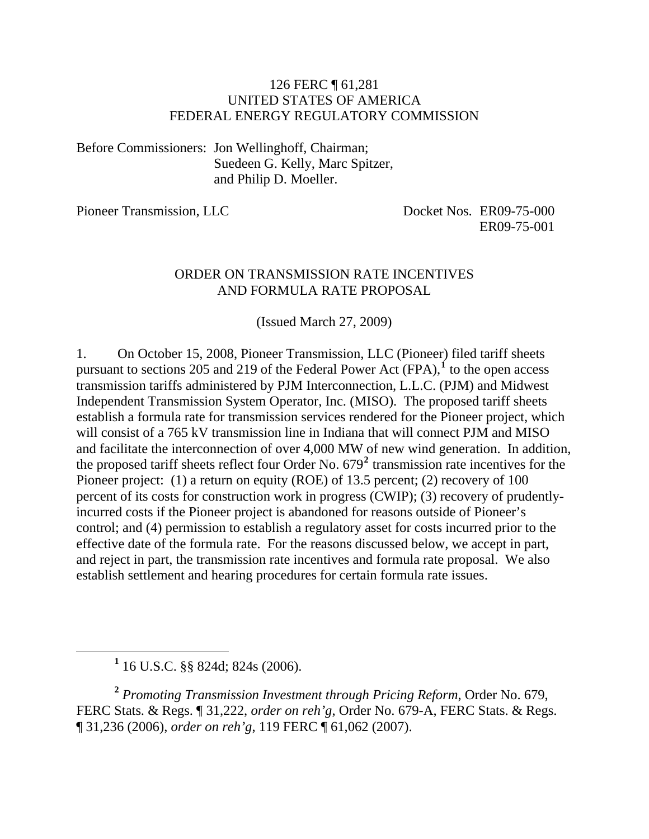#### 126 FERC ¶ 61,281 UNITED STATES OF AMERICA FEDERAL ENERGY REGULATORY COMMISSION

Before Commissioners: Jon Wellinghoff, Chairman; Suedeen G. Kelly, Marc Spitzer, and Philip D. Moeller.

Pioneer Transmission, LLC Docket Nos. ER09-75-000 ER09-75-001

#### ORDER ON TRANSMISSION RATE INCENTIVES AND FORMULA RATE PROPOSAL

(Issued March 27, 2009)

1. On October 15, 2008, Pioneer Transmission, LLC (Pioneer) filed tariff sheets pursuant to sections 205 and 2[1](#page-0-0)9 of the Federal Power Act  $(FPA)$ ,<sup>1</sup> to the open access transmission tariffs administered by PJM Interconnection, L.L.C. (PJM) and Midwest Independent Transmission System Operator, Inc. (MISO). The proposed tariff sheets establish a formula rate for transmission services rendered for the Pioneer project, which will consist of a 765 kV transmission line in Indiana that will connect PJM and MISO and facilitate the interconnection of over 4,000 MW of new wind generation. In addition, the proposed tariff sheets reflect four Order No. 679**[2](#page-0-1)** transmission rate incentives for the Pioneer project: (1) a return on equity (ROE) of 13.5 percent; (2) recovery of 100 percent of its costs for construction work in progress (CWIP); (3) recovery of prudentlyincurred costs if the Pioneer project is abandoned for reasons outside of Pioneer's control; and (4) permission to establish a regulatory asset for costs incurred prior to the effective date of the formula rate. For the reasons discussed below, we accept in part, and reject in part, the transmission rate incentives and formula rate proposal. We also establish settlement and hearing procedures for certain formula rate issues.

<span id="page-0-1"></span>**<sup>2</sup>** *Promoting Transmission Investment through Pricing Reform*, Order No. 679, FERC Stats. & Regs. ¶ 31,222, *order on reh'g*, Order No. 679-A, FERC Stats. & Regs. ¶ 31,236 (2006), *order on reh'g*, 119 FERC ¶ 61,062 (2007).

<span id="page-0-0"></span><sup>&</sup>lt;u>1</u>  $1$  16 U.S.C. §§ 824d; 824s (2006).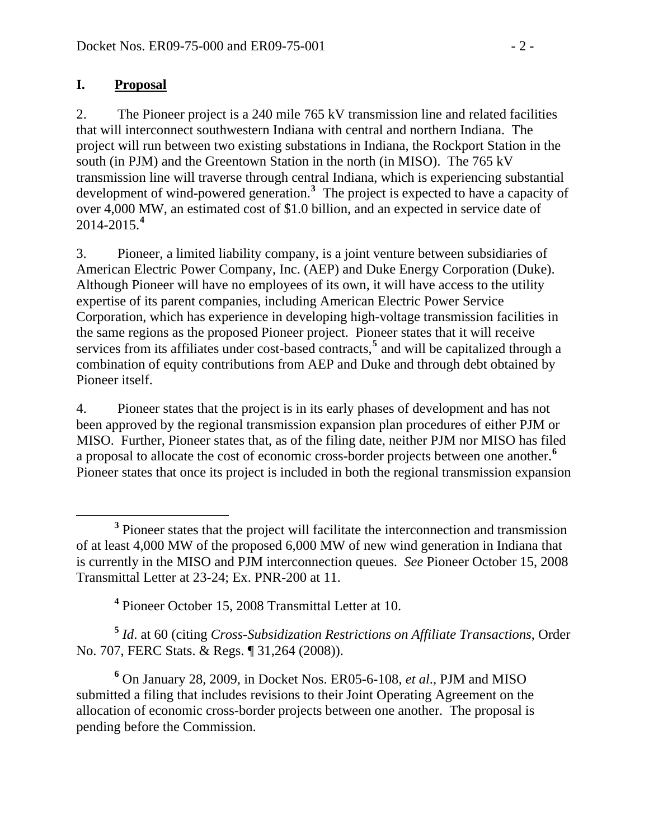#### **I. Proposal**

2. The Pioneer project is a 240 mile 765 kV transmission line and related facilities that will interconnect southwestern Indiana with central and northern Indiana. The project will run between two existing substations in Indiana, the Rockport Station in the south (in PJM) and the Greentown Station in the north (in MISO). The 765 kV transmission line will traverse through central Indiana, which is experiencing substantial development of wind-powered generation.**[3](#page-1-0)** The project is expected to have a capacity of over 4,000 MW, an estimated cost of \$1.0 billion, and an expected in service date of 2014-2015.**[4](#page-1-1)**

3. Pioneer, a limited liability company, is a joint venture between subsidiaries of American Electric Power Company, Inc. (AEP) and Duke Energy Corporation (Duke). Although Pioneer will have no employees of its own, it will have access to the utility expertise of its parent companies, including American Electric Power Service Corporation, which has experience in developing high-voltage transmission facilities in the same regions as the proposed Pioneer project. Pioneer states that it will receive services from its affiliates under cost-based contracts,<sup>[5](#page-1-2)</sup> and will be capitalized through a combination of equity contributions from AEP and Duke and through debt obtained by Pioneer itself.

4. Pioneer states that the project is in its early phases of development and has not been approved by the regional transmission expansion plan procedures of either PJM or MISO. Further, Pioneer states that, as of the filing date, neither PJM nor MISO has filed a proposal to allocate the cost of economic cross-border projects between one another.**[6](#page-1-3)** Pioneer states that once its project is included in both the regional transmission expansion

<span id="page-1-2"></span><span id="page-1-1"></span>**<sup>5</sup>** *Id*. at 60 (citing *Cross-Subsidization Restrictions on Affiliate Transactions*, Order No. 707, FERC Stats. & Regs. ¶ 31,264 (2008)).

<span id="page-1-3"></span>**6** On January 28, 2009, in Docket Nos. ER05-6-108, *et al*., PJM and MISO submitted a filing that includes revisions to their Joint Operating Agreement on the allocation of economic cross-border projects between one another. The proposal is pending before the Commission.

<span id="page-1-0"></span>**<sup>3</sup>** <sup>3</sup> Pioneer states that the project will facilitate the interconnection and transmission of at least 4,000 MW of the proposed 6,000 MW of new wind generation in Indiana that is currently in the MISO and PJM interconnection queues. *See* Pioneer October 15, 2008 Transmittal Letter at 23-24; Ex. PNR-200 at 11.

**<sup>4</sup>** Pioneer October 15, 2008 Transmittal Letter at 10.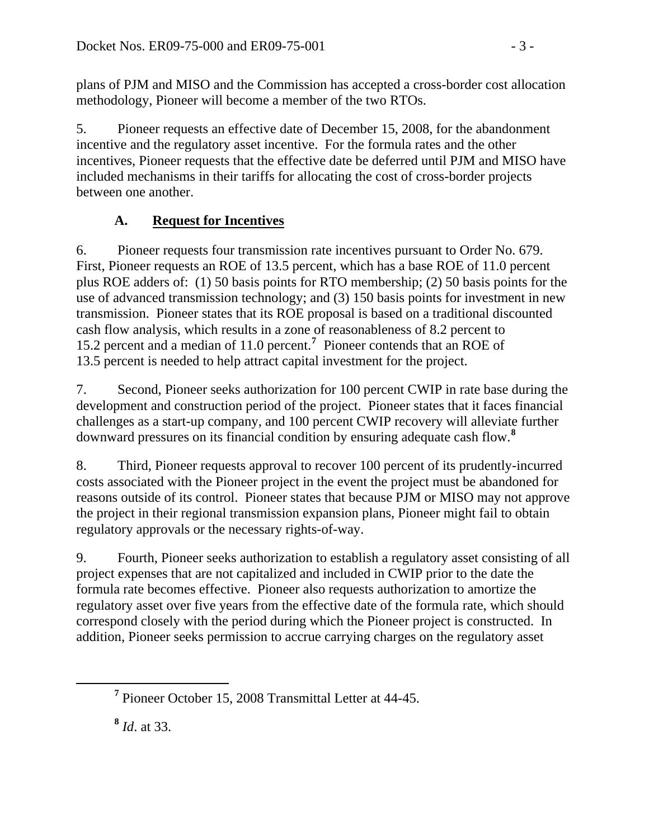plans of PJM and MISO and the Commission has accepted a cross-border cost allocation methodology, Pioneer will become a member of the two RTOs.

5. Pioneer requests an effective date of December 15, 2008, for the abandonment incentive and the regulatory asset incentive. For the formula rates and the other incentives, Pioneer requests that the effective date be deferred until PJM and MISO have included mechanisms in their tariffs for allocating the cost of cross-border projects between one another.

# **A. Request for Incentives**

6. Pioneer requests four transmission rate incentives pursuant to Order No. 679. First, Pioneer requests an ROE of 13.5 percent, which has a base ROE of 11.0 percent plus ROE adders of: (1) 50 basis points for RTO membership; (2) 50 basis points for the use of advanced transmission technology; and (3) 150 basis points for investment in new transmission. Pioneer states that its ROE proposal is based on a traditional discounted cash flow analysis, which results in a zone of reasonableness of 8.2 percent to 15.2 percent and a median of 11.0 percent.**[7](#page-2-0)** Pioneer contends that an ROE of 13.5 percent is needed to help attract capital investment for the project.

7. Second, Pioneer seeks authorization for 100 percent CWIP in rate base during the development and construction period of the project. Pioneer states that it faces financial challenges as a start-up company, and 100 percent CWIP recovery will alleviate further downward pressures on its financial condition by ensuring adequate cash flow.**[8](#page-2-1)**

8. Third, Pioneer requests approval to recover 100 percent of its prudently-incurred costs associated with the Pioneer project in the event the project must be abandoned for reasons outside of its control. Pioneer states that because PJM or MISO may not approve the project in their regional transmission expansion plans, Pioneer might fail to obtain regulatory approvals or the necessary rights-of-way.

9. Fourth, Pioneer seeks authorization to establish a regulatory asset consisting of all project expenses that are not capitalized and included in CWIP prior to the date the formula rate becomes effective. Pioneer also requests authorization to amortize the regulatory asset over five years from the effective date of the formula rate, which should correspond closely with the period during which the Pioneer project is constructed. In addition, Pioneer seeks permission to accrue carrying charges on the regulatory asset

**<sup>8</sup>** *Id*. at 33.

<span id="page-2-1"></span><span id="page-2-0"></span>**<sup>7</sup>** Pioneer October 15, 2008 Transmittal Letter at 44-45.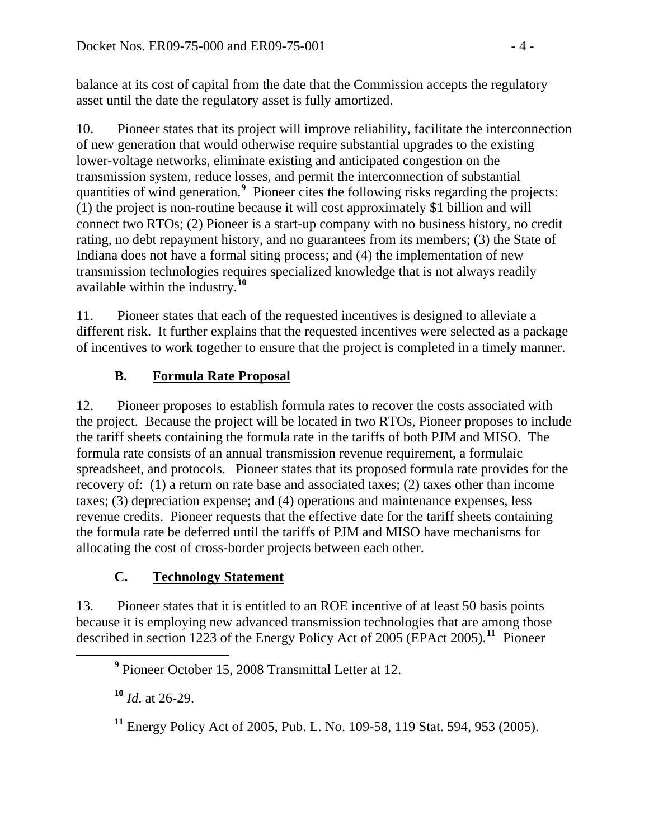balance at its cost of capital from the date that the Commission accepts the regulatory asset until the date the regulatory asset is fully amortized.

10. Pioneer states that its project will improve reliability, facilitate the interconnection of new generation that would otherwise require substantial upgrades to the existing lower-voltage networks, eliminate existing and anticipated congestion on the transmission system, reduce losses, and permit the interconnection of substantial quantities of wind generation.<sup>[9](#page-3-0)</sup> Pioneer cites the following risks regarding the projects: (1) the project is non-routine because it will cost approximately \$1 billion and will connect two RTOs; (2) Pioneer is a start-up company with no business history, no credit rating, no debt repayment history, and no guarantees from its members; (3) the State of Indiana does not have a formal siting process; and (4) the implementation of new transmission technologies requires specialized knowledge that is not always readily available within the industry.**[10](#page-3-1)**

11. Pioneer states that each of the requested incentives is designed to alleviate a different risk. It further explains that the requested incentives were selected as a package of incentives to work together to ensure that the project is completed in a timely manner.

# **B. Formula Rate Proposal**

12. Pioneer proposes to establish formula rates to recover the costs associated with the project. Because the project will be located in two RTOs, Pioneer proposes to include the tariff sheets containing the formula rate in the tariffs of both PJM and MISO. The formula rate consists of an annual transmission revenue requirement, a formulaic spreadsheet, and protocols. Pioneer states that its proposed formula rate provides for the recovery of: (1) a return on rate base and associated taxes; (2) taxes other than income taxes; (3) depreciation expense; and (4) operations and maintenance expenses, less revenue credits. Pioneer requests that the effective date for the tariff sheets containing the formula rate be deferred until the tariffs of PJM and MISO have mechanisms for allocating the cost of cross-border projects between each other.

## **C. Technology Statement**

13. Pioneer states that it is entitled to an ROE incentive of at least 50 basis points because it is employing new advanced transmission technologies that are among those described in section 1223 of the Energy Policy Act of 2005 (EPAct 2005).**[11](#page-3-2)** Pioneer

**<sup>10</sup>** *Id*. at 26-29.

**<sup>11</sup>** Energy Policy Act of 2005, Pub. L. No. 109-58, 119 Stat. 594, 953 (2005).

<span id="page-3-2"></span><span id="page-3-1"></span><span id="page-3-0"></span>**<sup>9</sup>** Pioneer October 15, 2008 Transmittal Letter at 12.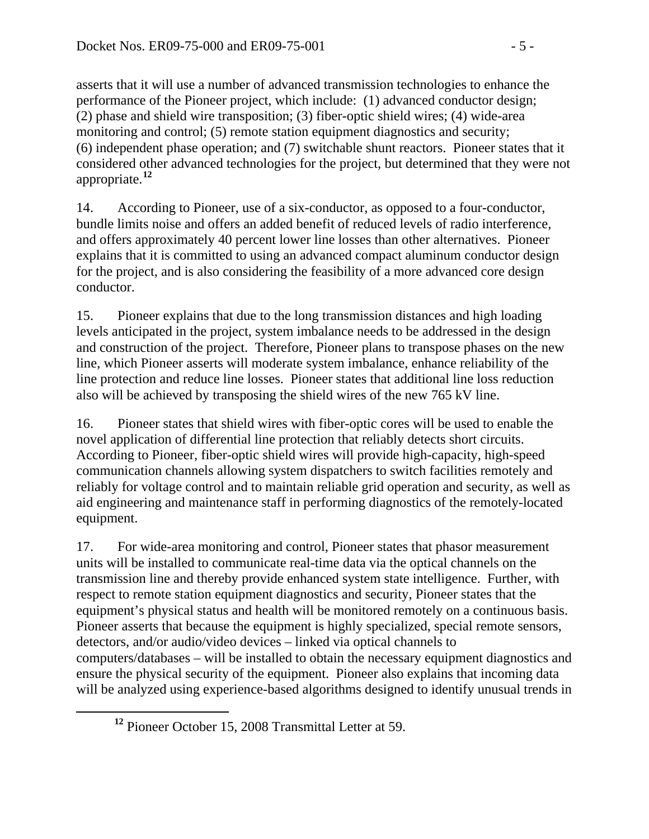asserts that it will use a number of advanced transmission technologies to enhance the performance of the Pioneer project, which include: (1) advanced conductor design; (2) phase and shield wire transposition; (3) fiber-optic shield wires; (4) wide-area monitoring and control; (5) remote station equipment diagnostics and security; (6) independent phase operation; and (7) switchable shunt reactors. Pioneer states that it considered other advanced technologies for the project, but determined that they were not appropriate.**<sup>12</sup>**

14. According to Pioneer, use of a six-conductor, as opposed to a four-conductor, bundle limits noise and offers an added benefit of reduced levels of radio interference, and offers approximately 40 percent lower line losses than other alternatives. Pioneer explains that it is committed to using an advanced compact aluminum conductor design for the project, and is also considering the feasibility of a more advanced core design conductor.

15. Pioneer explains that due to the long transmission distances and high loading levels anticipated in the project, system imbalance needs to be addressed in the design and construction of the project. Therefore, Pioneer plans to transpose phases on the new line, which Pioneer asserts will moderate system imbalance, enhance reliability of the line protection and reduce line losses. Pioneer states that additional line loss reduction also will be achieved by transposing the shield wires of the new 765 kV line.

16. Pioneer states that shield wires with fiber-optic cores will be used to enable the novel application of differential line protection that reliably detects short circuits. According to Pioneer, fiber-optic shield wires will provide high-capacity, high-speed communication channels allowing system dispatchers to switch facilities remotely and reliably for voltage control and to maintain reliable grid operation and security, as well as aid engineering and maintenance staff in performing diagnostics of the remotely-located equipment.

17. For wide-area monitoring and control, Pioneer states that phasor measurement units will be installed to communicate real-time data via the optical channels on the transmission line and thereby provide enhanced system state intelligence. Further, with respect to remote station equipment diagnostics and security, Pioneer states that the equipment's physical status and health will be monitored remotely on a continuous basis. Pioneer asserts that because the equipment is highly specialized, special remote sensors, detectors, and/or audio/video devices – linked via optical channels to computers/databases – will be installed to obtain the necessary equipment diagnostics and ensure the physical security of the equipment. Pioneer also explains that incoming data will be analyzed using experience-based algorithms designed to identify unusual trends in

**<sup>12</sup>** Pioneer October 15, 2008 Transmittal Letter at 59.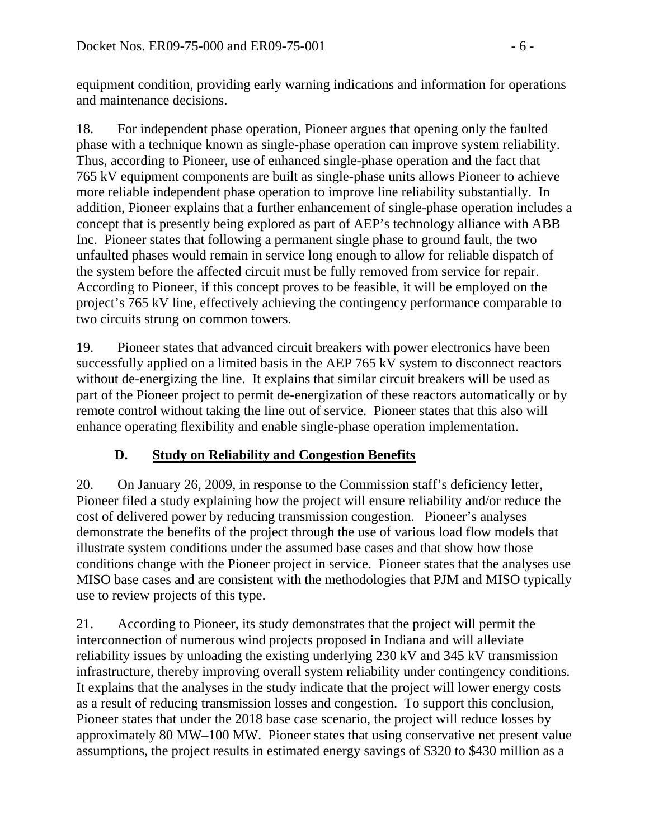equipment condition, providing early warning indications and information for operations and maintenance decisions.

18. For independent phase operation, Pioneer argues that opening only the faulted phase with a technique known as single-phase operation can improve system reliability. Thus, according to Pioneer, use of enhanced single-phase operation and the fact that 765 kV equipment components are built as single-phase units allows Pioneer to achieve more reliable independent phase operation to improve line reliability substantially. In addition, Pioneer explains that a further enhancement of single-phase operation includes a concept that is presently being explored as part of AEP's technology alliance with ABB Inc. Pioneer states that following a permanent single phase to ground fault, the two unfaulted phases would remain in service long enough to allow for reliable dispatch of the system before the affected circuit must be fully removed from service for repair. According to Pioneer, if this concept proves to be feasible, it will be employed on the project's 765 kV line, effectively achieving the contingency performance comparable to two circuits strung on common towers.

19. Pioneer states that advanced circuit breakers with power electronics have been successfully applied on a limited basis in the AEP 765 kV system to disconnect reactors without de-energizing the line. It explains that similar circuit breakers will be used as part of the Pioneer project to permit de-energization of these reactors automatically or by remote control without taking the line out of service. Pioneer states that this also will enhance operating flexibility and enable single-phase operation implementation.

## **D. Study on Reliability and Congestion Benefits**

20. On January 26, 2009, in response to the Commission staff's deficiency letter, Pioneer filed a study explaining how the project will ensure reliability and/or reduce the cost of delivered power by reducing transmission congestion. Pioneer's analyses demonstrate the benefits of the project through the use of various load flow models that illustrate system conditions under the assumed base cases and that show how those conditions change with the Pioneer project in service. Pioneer states that the analyses use MISO base cases and are consistent with the methodologies that PJM and MISO typically use to review projects of this type.

21. According to Pioneer, its study demonstrates that the project will permit the interconnection of numerous wind projects proposed in Indiana and will alleviate reliability issues by unloading the existing underlying 230 kV and 345 kV transmission infrastructure, thereby improving overall system reliability under contingency conditions. It explains that the analyses in the study indicate that the project will lower energy costs as a result of reducing transmission losses and congestion. To support this conclusion, Pioneer states that under the 2018 base case scenario, the project will reduce losses by approximately 80 MW–100 MW. Pioneer states that using conservative net present value assumptions, the project results in estimated energy savings of \$320 to \$430 million as a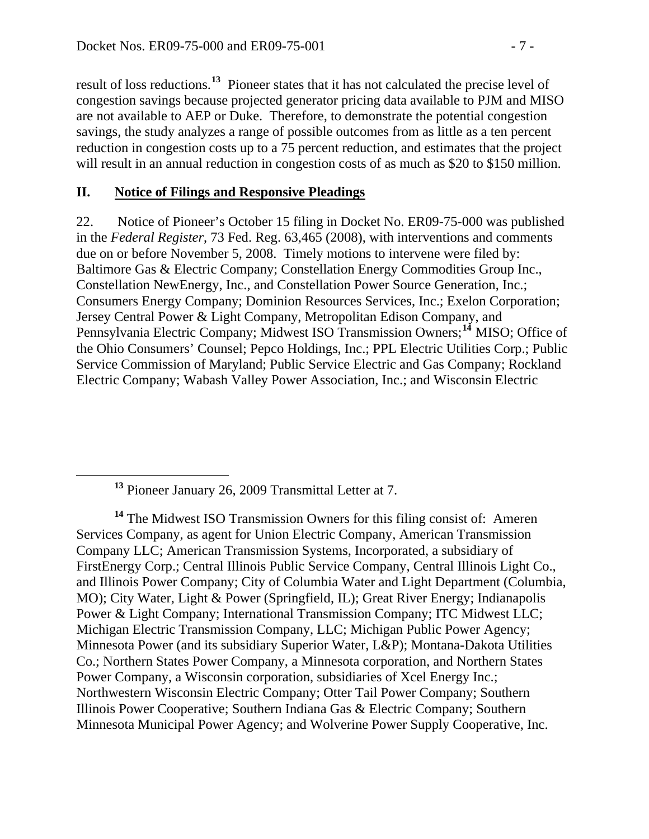result of loss reductions.**<sup>13</sup>** Pioneer states that it has not calculated the precise level of congestion savings because projected generator pricing data available to PJM and MISO are not available to AEP or Duke. Therefore, to demonstrate the potential congestion savings, the study analyzes a range of possible outcomes from as little as a ten percent reduction in congestion costs up to a 75 percent reduction, and estimates that the project will result in an annual reduction in congestion costs of as much as \$20 to \$150 million.

#### **II. Notice of Filings and Responsive Pleadings**

22. Notice of Pioneer's October 15 filing in Docket No. ER09-75-000 was published in the *Federal Register*, 73 Fed. Reg. 63,465 (2008), with interventions and comments due on or before November 5, 2008. Timely motions to intervene were filed by: Baltimore Gas & Electric Company; Constellation Energy Commodities Group Inc., Constellation NewEnergy, Inc., and Constellation Power Source Generation, Inc.; Consumers Energy Company; Dominion Resources Services, Inc.; Exelon Corporation; Jersey Central Power & Light Company, Metropolitan Edison Company, and Pennsylvania Electric Company; Midwest ISO Transmission Owners;**[14](#page-6-0)** MISO; Office of the Ohio Consumers' Counsel; Pepco Holdings, Inc.; PPL Electric Utilities Corp.; Public Service Commission of Maryland; Public Service Electric and Gas Company; Rockland Electric Company; Wabash Valley Power Association, Inc.; and Wisconsin Electric

**<sup>13</sup>** Pioneer January 26, 2009 Transmittal Letter at 7.

<span id="page-6-0"></span>**<sup>14</sup>** The Midwest ISO Transmission Owners for this filing consist of: Ameren Services Company, as agent for Union Electric Company, American Transmission Company LLC; American Transmission Systems, Incorporated, a subsidiary of FirstEnergy Corp.; Central Illinois Public Service Company, Central Illinois Light Co., and Illinois Power Company; City of Columbia Water and Light Department (Columbia, MO); City Water, Light & Power (Springfield, IL); Great River Energy; Indianapolis Power & Light Company; International Transmission Company; ITC Midwest LLC; Michigan Electric Transmission Company, LLC; Michigan Public Power Agency; Minnesota Power (and its subsidiary Superior Water, L&P); Montana-Dakota Utilities Co.; Northern States Power Company, a Minnesota corporation, and Northern States Power Company, a Wisconsin corporation, subsidiaries of Xcel Energy Inc.; Northwestern Wisconsin Electric Company; Otter Tail Power Company; Southern Illinois Power Cooperative; Southern Indiana Gas & Electric Company; Southern Minnesota Municipal Power Agency; and Wolverine Power Supply Cooperative, Inc.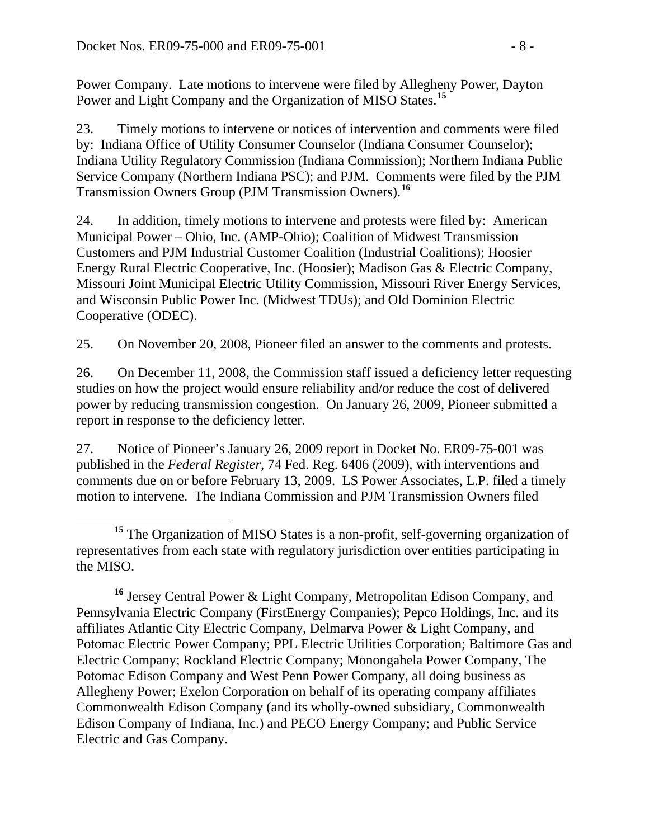Power Company. Late motions to intervene were filed by Allegheny Power, Dayton Power and Light Company and the Organization of MISO States.**<sup>15</sup>**

23. Timely motions to intervene or notices of intervention and comments were filed by: Indiana Office of Utility Consumer Counselor (Indiana Consumer Counselor); Indiana Utility Regulatory Commission (Indiana Commission); Northern Indiana Public Service Company (Northern Indiana PSC); and PJM. Comments were filed by the PJM Transmission Owners Group (PJM Transmission Owners).**[16](#page-7-0)**

24. In addition, timely motions to intervene and protests were filed by: American Municipal Power – Ohio, Inc. (AMP-Ohio); Coalition of Midwest Transmission Customers and PJM Industrial Customer Coalition (Industrial Coalitions); Hoosier Energy Rural Electric Cooperative, Inc. (Hoosier); Madison Gas & Electric Company, Missouri Joint Municipal Electric Utility Commission, Missouri River Energy Services, and Wisconsin Public Power Inc. (Midwest TDUs); and Old Dominion Electric Cooperative (ODEC).

25. On November 20, 2008, Pioneer filed an answer to the comments and protests.

26. On December 11, 2008, the Commission staff issued a deficiency letter requesting studies on how the project would ensure reliability and/or reduce the cost of delivered power by reducing transmission congestion. On January 26, 2009, Pioneer submitted a report in response to the deficiency letter.

27. Notice of Pioneer's January 26, 2009 report in Docket No. ER09-75-001 was published in the *Federal Register*, 74 Fed. Reg. 6406 (2009), with interventions and comments due on or before February 13, 2009. LS Power Associates, L.P. filed a timely motion to intervene. The Indiana Commission and PJM Transmission Owners filed

**<sup>15</sup>** The Organization of MISO States is a non-profit, self-governing organization of representatives from each state with regulatory jurisdiction over entities participating in the MISO.

<span id="page-7-0"></span>**<sup>16</sup>** Jersey Central Power & Light Company, Metropolitan Edison Company, and Pennsylvania Electric Company (FirstEnergy Companies); Pepco Holdings, Inc. and its affiliates Atlantic City Electric Company, Delmarva Power & Light Company, and Potomac Electric Power Company; PPL Electric Utilities Corporation; Baltimore Gas and Electric Company; Rockland Electric Company; Monongahela Power Company, The Potomac Edison Company and West Penn Power Company, all doing business as Allegheny Power; Exelon Corporation on behalf of its operating company affiliates Commonwealth Edison Company (and its wholly-owned subsidiary, Commonwealth Edison Company of Indiana, Inc.) and PECO Energy Company; and Public Service Electric and Gas Company.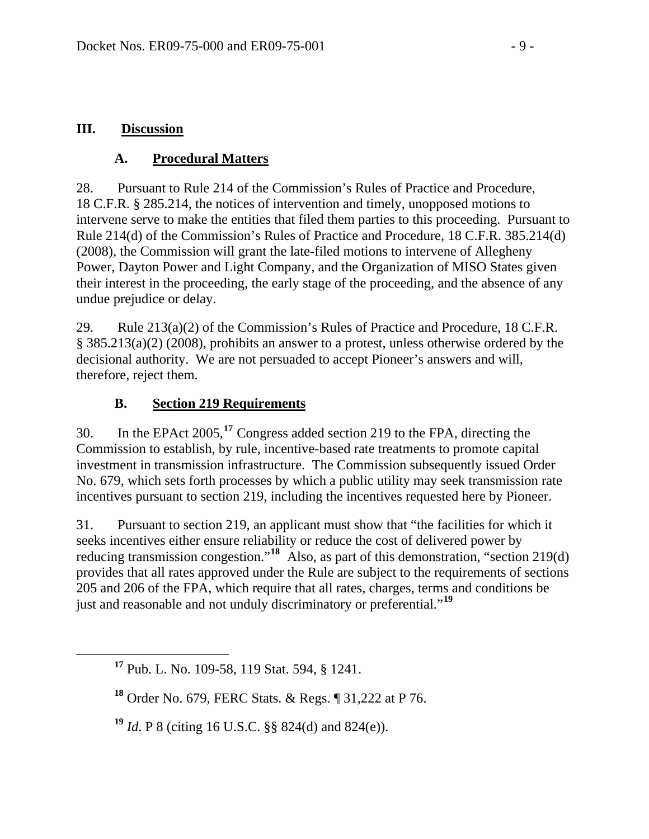#### **III. Discussion**

#### **A. Procedural Matters**

28. Pursuant to Rule 214 of the Commission's Rules of Practice and Procedure, 18 C.F.R. § 285.214, the notices of intervention and timely, unopposed motions to intervene serve to make the entities that filed them parties to this proceeding. Pursuant to Rule 214(d) of the Commission's Rules of Practice and Procedure, 18 C.F.R. 385.214(d) (2008), the Commission will grant the late-filed motions to intervene of Allegheny Power, Dayton Power and Light Company, and the Organization of MISO States given their interest in the proceeding, the early stage of the proceeding, and the absence of any undue prejudice or delay.

29. Rule 213(a)(2) of the Commission's Rules of Practice and Procedure, 18 C.F.R. § 385.213(a)(2) (2008), prohibits an answer to a protest, unless otherwise ordered by the decisional authority. We are not persuaded to accept Pioneer's answers and will, therefore, reject them.

#### **B. Section 219 Requirements**

30. In the EPAct 2005,**[17](#page-8-0)** Congress added section 219 to the FPA, directing the Commission to establish, by rule, incentive-based rate treatments to promote capital investment in transmission infrastructure. The Commission subsequently issued Order No. 679, which sets forth processes by which a public utility may seek transmission rate incentives pursuant to section 219, including the incentives requested here by Pioneer.

31. Pursuant to section 219, an applicant must show that "the facilities for which it seeks incentives either ensure reliability or reduce the cost of delivered power by reducing transmission congestion."<sup>[18](#page-8-1)</sup> Also, as part of this demonstration, "section 219(d) provides that all rates approved under the Rule are subject to the requirements of sections 205 and 206 of the FPA, which require that all rates, charges, terms and conditions be just and reasonable and not unduly discriminatory or preferential."**[19](#page-8-2)**

<span id="page-8-2"></span>**<sup>19</sup>** *Id*. P 8 (citing 16 U.S.C. §§ 824(d) and 824(e)).

<span id="page-8-0"></span>**<sup>17</sup>** Pub. L. No. 109-58, 119 Stat. 594, § 1241.

<span id="page-8-1"></span>**<sup>18</sup>** Order No. 679, FERC Stats. & Regs. ¶ 31,222 at P 76.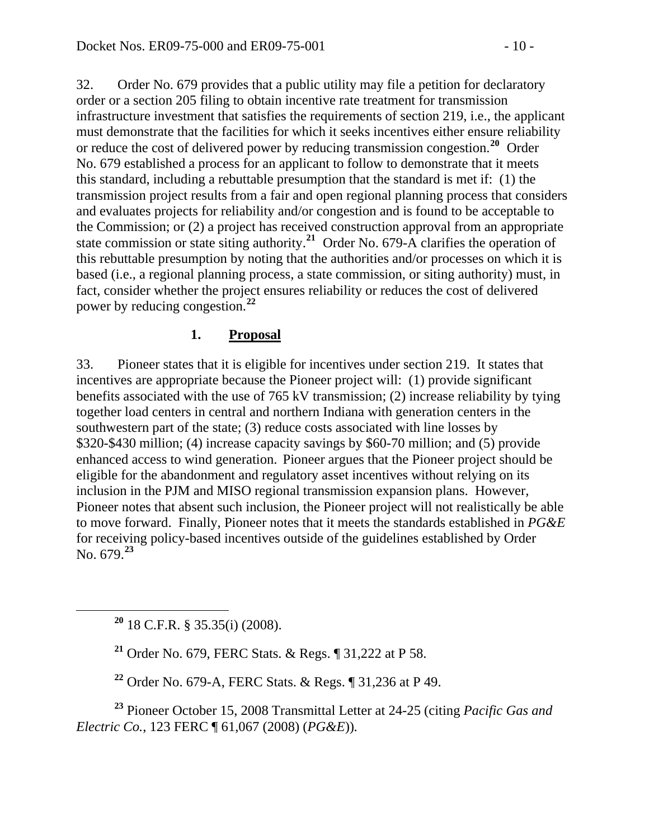32. Order No. 679 provides that a public utility may file a petition for declaratory order or a section 205 filing to obtain incentive rate treatment for transmission infrastructure investment that satisfies the requirements of section 219, i.e., the applicant must demonstrate that the facilities for which it seeks incentives either ensure reliability or reduce the cost of delivered power by reducing transmission congestion.**[20](#page-9-0)** Order No. 679 established a process for an applicant to follow to demonstrate that it meets this standard, including a rebuttable presumption that the standard is met if: (1) the transmission project results from a fair and open regional planning process that considers and evaluates projects for reliability and/or congestion and is found to be acceptable to the Commission; or (2) a project has received construction approval from an appropriate state commission or state siting authority.<sup>[21](#page-9-1)</sup> Order No. 679-A clarifies the operation of this rebuttable presumption by noting that the authorities and/or processes on which it is based (i.e., a regional planning process, a state commission, or siting authority) must, in fact, consider whether the project ensures reliability or reduces the cost of delivered power by reducing congestion.**[22](#page-9-2)**

#### **1. Proposal**

33. Pioneer states that it is eligible for incentives under section 219. It states that incentives are appropriate because the Pioneer project will: (1) provide significant benefits associated with the use of 765 kV transmission; (2) increase reliability by tying together load centers in central and northern Indiana with generation centers in the southwestern part of the state; (3) reduce costs associated with line losses by \$320-\$430 million; (4) increase capacity savings by \$60-70 million; and (5) provide enhanced access to wind generation. Pioneer argues that the Pioneer project should be eligible for the abandonment and regulatory asset incentives without relying on its inclusion in the PJM and MISO regional transmission expansion plans. However, Pioneer notes that absent such inclusion, the Pioneer project will not realistically be able to move forward. Finally, Pioneer notes that it meets the standards established in *PG&E* for receiving policy-based incentives outside of the guidelines established by Order No. 679.**[23](#page-9-3)**

<span id="page-9-0"></span>**<sup>20</sup>** 18 C.F.R. § 35.35(i) (2008).

**<sup>21</sup>** Order No. 679, FERC Stats. & Regs. ¶ 31,222 at P 58.

**<sup>22</sup>** Order No. 679-A, FERC Stats. & Regs. ¶ 31,236 at P 49.

<span id="page-9-3"></span><span id="page-9-2"></span><span id="page-9-1"></span>**<sup>23</sup>** Pioneer October 15, 2008 Transmittal Letter at 24-25 (citing *Pacific Gas and Electric Co.*, 123 FERC ¶ 61,067 (2008) (*PG&E*))*.*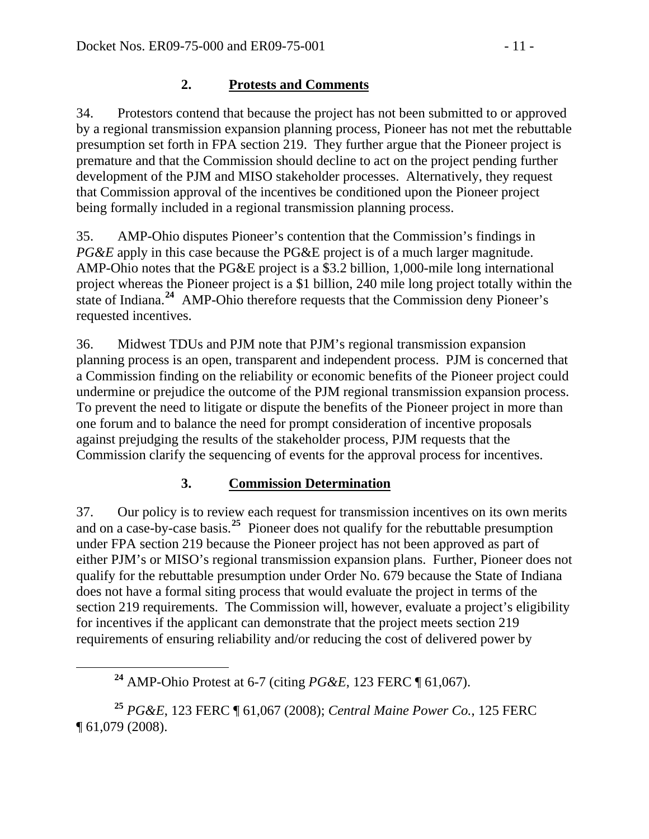#### **2. Protests and Comments**

34. Protestors contend that because the project has not been submitted to or approved by a regional transmission expansion planning process, Pioneer has not met the rebuttable presumption set forth in FPA section 219. They further argue that the Pioneer project is premature and that the Commission should decline to act on the project pending further development of the PJM and MISO stakeholder processes. Alternatively, they request that Commission approval of the incentives be conditioned upon the Pioneer project being formally included in a regional transmission planning process.

35. AMP-Ohio disputes Pioneer's contention that the Commission's findings in *PG&E* apply in this case because the PG&E project is of a much larger magnitude. AMP-Ohio notes that the PG&E project is a \$3.2 billion, 1,000-mile long international project whereas the Pioneer project is a \$1 billion, 240 mile long project totally within the state of Indiana.**[24](#page-10-0)** AMP-Ohio therefore requests that the Commission deny Pioneer's requested incentives.

36. Midwest TDUs and PJM note that PJM's regional transmission expansion planning process is an open, transparent and independent process. PJM is concerned that a Commission finding on the reliability or economic benefits of the Pioneer project could undermine or prejudice the outcome of the PJM regional transmission expansion process. To prevent the need to litigate or dispute the benefits of the Pioneer project in more than one forum and to balance the need for prompt consideration of incentive proposals against prejudging the results of the stakeholder process, PJM requests that the Commission clarify the sequencing of events for the approval process for incentives.

### **3. Commission Determination**

37. Our policy is to review each request for transmission incentives on its own merits and on a case-by-case basis.**[25](#page-10-1)** Pioneer does not qualify for the rebuttable presumption under FPA section 219 because the Pioneer project has not been approved as part of either PJM's or MISO's regional transmission expansion plans. Further, Pioneer does not qualify for the rebuttable presumption under Order No. 679 because the State of Indiana does not have a formal siting process that would evaluate the project in terms of the section 219 requirements. The Commission will, however, evaluate a project's eligibility for incentives if the applicant can demonstrate that the project meets section 219 requirements of ensuring reliability and/or reducing the cost of delivered power by

<span id="page-10-1"></span><span id="page-10-0"></span>**<sup>25</sup>** *PG&E*, 123 FERC ¶ 61,067 (2008); *Central Maine Power Co.*, 125 FERC ¶ 61,079 (2008).

**<sup>24</sup>** AMP-Ohio Protest at 6-7 (citing *PG&E*, 123 FERC ¶ 61,067).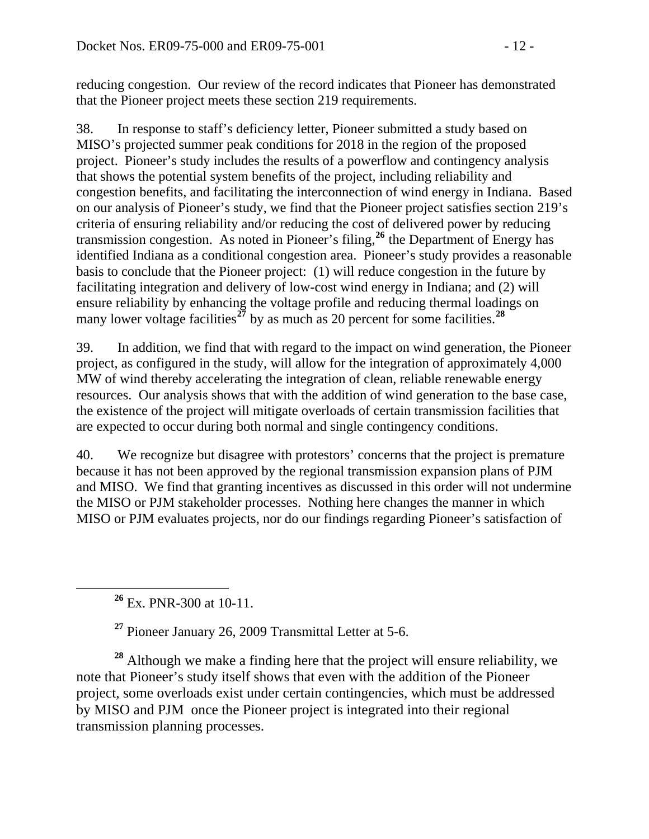reducing congestion. Our review of the record indicates that Pioneer has demonstrated that the Pioneer project meets these section 219 requirements.

38. In response to staff's deficiency letter, Pioneer submitted a study based on MISO's projected summer peak conditions for 2018 in the region of the proposed project. Pioneer's study includes the results of a powerflow and contingency analysis that shows the potential system benefits of the project, including reliability and congestion benefits, and facilitating the interconnection of wind energy in Indiana. Based on our analysis of Pioneer's study, we find that the Pioneer project satisfies section 219's criteria of ensuring reliability and/or reducing the cost of delivered power by reducing transmission congestion. As noted in Pioneer's filing,**[26](#page-11-0)** the Department of Energy has identified Indiana as a conditional congestion area. Pioneer's study provides a reasonable basis to conclude that the Pioneer project: (1) will reduce congestion in the future by facilitating integration and delivery of low-cost wind energy in Indiana; and (2) will ensure reliability by enhancing the voltage profile and reducing thermal loadings on many lower voltage facilities<sup> $27$ </sup> by as much as 20 percent for some facilities.<sup>[28](#page-11-2)</sup>

39. In addition, we find that with regard to the impact on wind generation, the Pioneer project, as configured in the study, will allow for the integration of approximately 4,000 MW of wind thereby accelerating the integration of clean, reliable renewable energy resources. Our analysis shows that with the addition of wind generation to the base case, the existence of the project will mitigate overloads of certain transmission facilities that are expected to occur during both normal and single contingency conditions.

40. We recognize but disagree with protestors' concerns that the project is premature because it has not been approved by the regional transmission expansion plans of PJM and MISO. We find that granting incentives as discussed in this order will not undermine the MISO or PJM stakeholder processes. Nothing here changes the manner in which MISO or PJM evaluates projects, nor do our findings regarding Pioneer's satisfaction of

**<sup>26</sup>** Ex. PNR-300 at 10-11.

**<sup>27</sup>** Pioneer January 26, 2009 Transmittal Letter at 5-6.

<span id="page-11-2"></span><span id="page-11-1"></span><span id="page-11-0"></span>**<sup>28</sup>** Although we make a finding here that the project will ensure reliability, we note that Pioneer's study itself shows that even with the addition of the Pioneer project, some overloads exist under certain contingencies, which must be addressed by MISO and PJM once the Pioneer project is integrated into their regional transmission planning processes.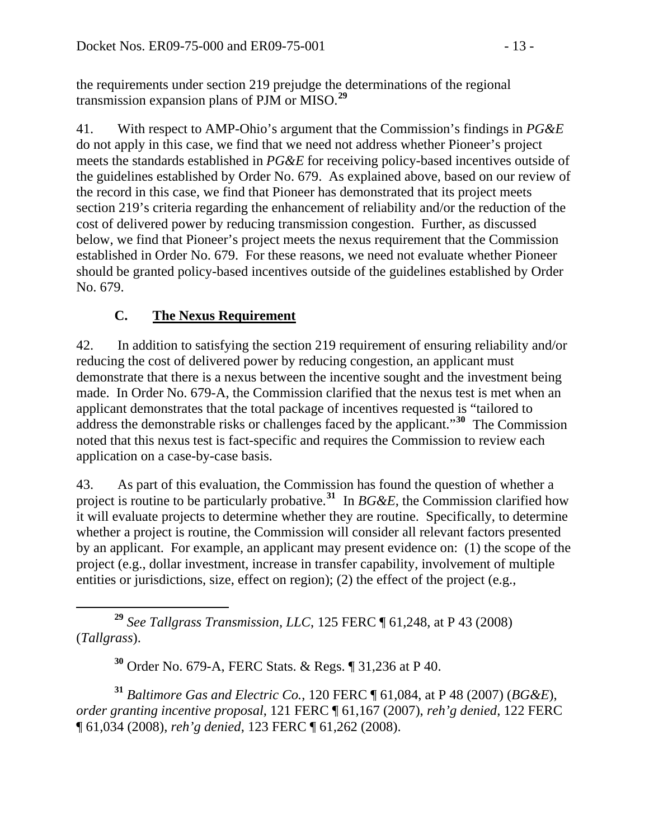the requirements under section 219 prejudge the determinations of the regional transmission expansion plans of PJM or MISO.**<sup>29</sup>**

41. With respect to AMP-Ohio's argument that the Commission's findings in *PG&E* do not apply in this case, we find that we need not address whether Pioneer's project meets the standards established in *PG&E* for receiving policy-based incentives outside of the guidelines established by Order No. 679. As explained above, based on our review of the record in this case, we find that Pioneer has demonstrated that its project meets section 219's criteria regarding the enhancement of reliability and/or the reduction of the cost of delivered power by reducing transmission congestion. Further, as discussed below, we find that Pioneer's project meets the nexus requirement that the Commission established in Order No. 679. For these reasons, we need not evaluate whether Pioneer should be granted policy-based incentives outside of the guidelines established by Order No. 679.

## **C. The Nexus Requirement**

42. In addition to satisfying the section 219 requirement of ensuring reliability and/or reducing the cost of delivered power by reducing congestion, an applicant must demonstrate that there is a nexus between the incentive sought and the investment being made. In Order No. 679-A, the Commission clarified that the nexus test is met when an applicant demonstrates that the total package of incentives requested is "tailored to address the demonstrable risks or challenges faced by the applicant."**[30](#page-12-0)** The Commission noted that this nexus test is fact-specific and requires the Commission to review each application on a case-by-case basis.

43. As part of this evaluation, the Commission has found the question of whether a project is routine to be particularly probative.<sup>[31](#page-12-1)</sup> In *BG&E*, the Commission clarified how it will evaluate projects to determine whether they are routine. Specifically, to determine whether a project is routine, the Commission will consider all relevant factors presented by an applicant. For example, an applicant may present evidence on: (1) the scope of the project (e.g., dollar investment, increase in transfer capability, involvement of multiple entities or jurisdictions, size, effect on region); (2) the effect of the project (e.g.,

 **<sup>29</sup>** *See Tallgrass Transmission, LLC*, 125 FERC ¶ 61,248, at P 43 (2008) (*Tallgrass*).

**<sup>30</sup>** Order No. 679-A, FERC Stats. & Regs. ¶ 31,236 at P 40.

<span id="page-12-1"></span><span id="page-12-0"></span>**<sup>31</sup>** *Baltimore Gas and Electric Co.*, 120 FERC ¶ 61,084, at P 48 (2007) (*BG&E*), *order granting incentive proposal*, 121 FERC ¶ 61,167 (2007), *reh'g denied*, 122 FERC ¶ 61,034 (2008), *reh'g denied*, 123 FERC ¶ 61,262 (2008).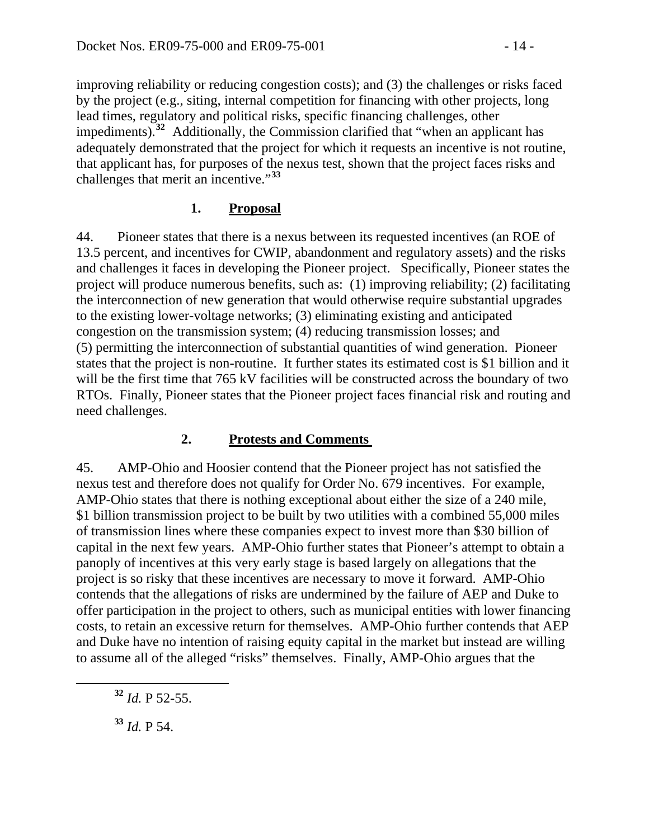improving reliability or reducing congestion costs); and (3) the challenges or risks faced by the project (e.g., siting, internal competition for financing with other projects, long lead times, regulatory and political risks, specific financing challenges, other impediments).**<sup>32</sup>** Additionally, the Commission clarified that "when an applicant has adequately demonstrated that the project for which it requests an incentive is not routine, that applicant has, for purposes of the nexus test, shown that the project faces risks and challenges that merit an incentive."**<sup>33</sup>**

#### **1. Proposal**

44. Pioneer states that there is a nexus between its requested incentives (an ROE of 13.5 percent, and incentives for CWIP, abandonment and regulatory assets) and the risks and challenges it faces in developing the Pioneer project. Specifically, Pioneer states the project will produce numerous benefits, such as: (1) improving reliability; (2) facilitating the interconnection of new generation that would otherwise require substantial upgrades to the existing lower-voltage networks; (3) eliminating existing and anticipated congestion on the transmission system; (4) reducing transmission losses; and (5) permitting the interconnection of substantial quantities of wind generation. Pioneer states that the project is non-routine. It further states its estimated cost is \$1 billion and it will be the first time that 765 kV facilities will be constructed across the boundary of two RTOs. Finally, Pioneer states that the Pioneer project faces financial risk and routing and need challenges.

### **2. Protests and Comments**

45. AMP-Ohio and Hoosier contend that the Pioneer project has not satisfied the nexus test and therefore does not qualify for Order No. 679 incentives. For example, AMP-Ohio states that there is nothing exceptional about either the size of a 240 mile, \$1 billion transmission project to be built by two utilities with a combined 55,000 miles of transmission lines where these companies expect to invest more than \$30 billion of capital in the next few years. AMP-Ohio further states that Pioneer's attempt to obtain a panoply of incentives at this very early stage is based largely on allegations that the project is so risky that these incentives are necessary to move it forward. AMP-Ohio contends that the allegations of risks are undermined by the failure of AEP and Duke to offer participation in the project to others, such as municipal entities with lower financing costs, to retain an excessive return for themselves. AMP-Ohio further contends that AEP and Duke have no intention of raising equity capital in the market but instead are willing to assume all of the alleged "risks" themselves. Finally, AMP-Ohio argues that the

**<sup>32</sup>** *Id.* P 52-55.

**<sup>33</sup>** *Id.* P 54.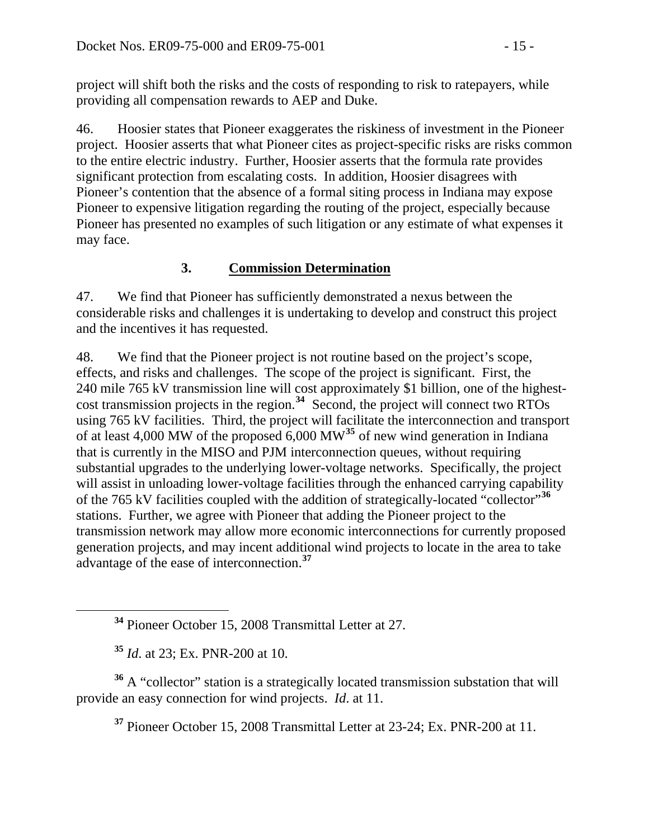project will shift both the risks and the costs of responding to risk to ratepayers, while providing all compensation rewards to AEP and Duke.

46. Hoosier states that Pioneer exaggerates the riskiness of investment in the Pioneer project. Hoosier asserts that what Pioneer cites as project-specific risks are risks common to the entire electric industry. Further, Hoosier asserts that the formula rate provides significant protection from escalating costs. In addition, Hoosier disagrees with Pioneer's contention that the absence of a formal siting process in Indiana may expose Pioneer to expensive litigation regarding the routing of the project, especially because Pioneer has presented no examples of such litigation or any estimate of what expenses it may face.

#### **3. Commission Determination**

47. We find that Pioneer has sufficiently demonstrated a nexus between the considerable risks and challenges it is undertaking to develop and construct this project and the incentives it has requested.

48. We find that the Pioneer project is not routine based on the project's scope, effects, and risks and challenges. The scope of the project is significant. First, the 240 mile 765 kV transmission line will cost approximately \$1 billion, one of the highestcost transmission projects in the region.**[34](#page-14-0)** Second, the project will connect two RTOs using 765 kV facilities. Third, the project will facilitate the interconnection and transport of at least 4,000 MW of the proposed 6,000 MW**[35](#page-14-1)** of new wind generation in Indiana that is currently in the MISO and PJM interconnection queues, without requiring substantial upgrades to the underlying lower-voltage networks. Specifically, the project will assist in unloading lower-voltage facilities through the enhanced carrying capability of the 765 kV facilities coupled with the addition of strategically-located "collector"**[36](#page-14-2)** stations. Further, we agree with Pioneer that adding the Pioneer project to the transmission network may allow more economic interconnections for currently propose d generation projects, and may incent additional wind projects to locate in the area to take advantage of the ease of interconnection.<sup>37</sup>

**<sup>35</sup>** *Id*. at 23; Ex. PNR-200 at 10.

<span id="page-14-2"></span><span id="page-14-1"></span><span id="page-14-0"></span>**<sup>36</sup>** A "collector" station is a strategically located transmission substation that will provide an easy connection for wind projects. *Id*. at 11.

**<sup>37</sup>** Pioneer October 15, 2008 Transmittal Letter at 23-24; Ex. PNR-200 at 11.

**<sup>34</sup>** Pioneer October 15, 2008 Transmittal Letter at 27.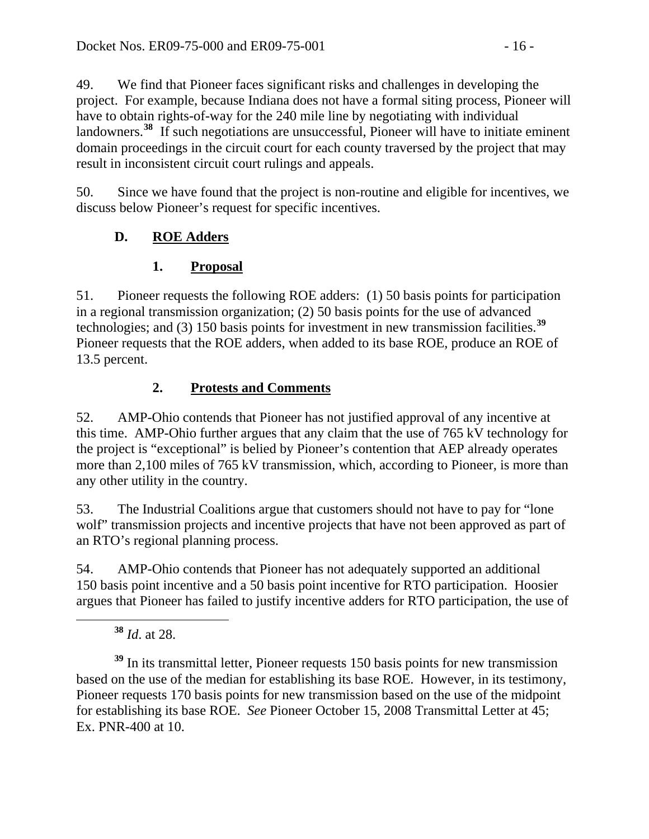49. We find that Pioneer faces significant risks and challenges in developing the project. For example, because Indiana does not have a formal siting process, Pioneer will have to obtain rights-of-way for the 240 mile line by negotiating with individual landowners.<sup>[38](#page-15-0)</sup> If such negotiations are unsuccessful, Pioneer will have to initiate eminent domain proceedings in the circuit court for each county traversed by the project that may result in inconsistent circuit court rulings and appeals.

50. Since we have found that the project is non-routine and eligible for incentives, we discuss below Pioneer's request for specific incentives.

# **D. ROE Adders**

# **1. Proposal**

51. Pioneer requests the following ROE adders: (1) 50 basis points for participation in a regional transmission organization; (2) 50 basis points for the use of advanced technologies; and (3) 150 basis points for investment in new transmission facilities.**[39](#page-15-1)** Pioneer requests that the ROE adders, when added to its base ROE, produce an ROE of 13.5 percent.

## **2. Protests and Comments**

52. AMP-Ohio contends that Pioneer has not justified approval of any incentive at this time. AMP-Ohio further argues that any claim that the use of 765 kV technology for the project is "exceptional" is belied by Pioneer's contention that AEP already operates more than 2,100 miles of 765 kV transmission, which, according to Pioneer, is more than any other utility in the country.

53. The Industrial Coalitions argue that customers should not have to pay for "lone wolf" transmission projects and incentive projects that have not been approved as part of an RTO's regional planning process.

54. AMP-Ohio contends that Pioneer has not adequately supported an additional 150 basis point incentive and a 50 basis point incentive for RTO participation. Hoosier argues that Pioneer has failed to justify incentive adders for RTO participation, the use of

**<sup>38</sup>** *Id*. at 28.

<span id="page-15-1"></span><span id="page-15-0"></span>**<sup>39</sup>** In its transmittal letter, Pioneer requests 150 basis points for new transmission based on the use of the median for establishing its base ROE. However, in its testimony, Pioneer requests 170 basis points for new transmission based on the use of the midpoint for establishing its base ROE. *See* Pioneer October 15, 2008 Transmittal Letter at 45; Ex. PNR-400 at 10.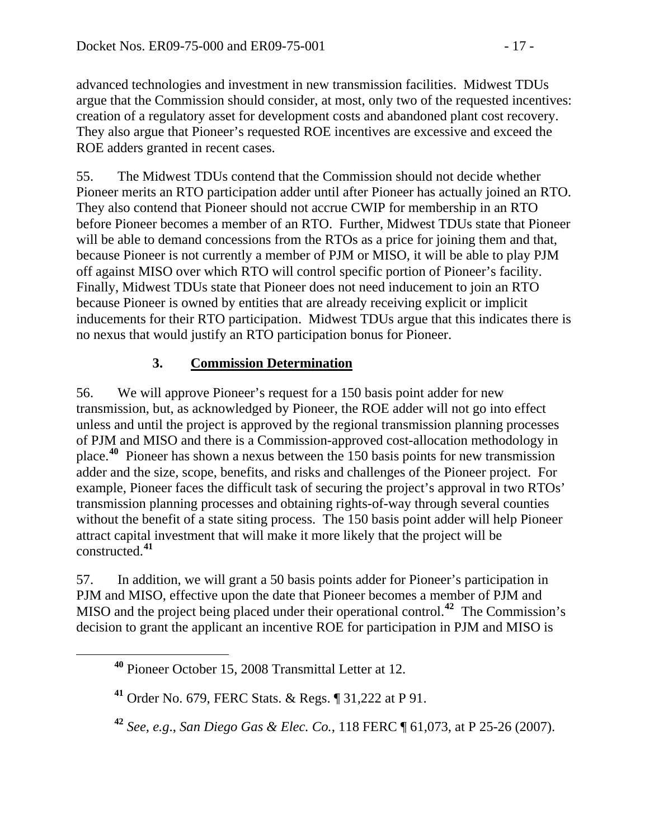advanced technologies and investment in new transmission facilities. Midwest TDUs argue that the Commission should consider, at most, only two of the requested incentives: creation of a regulatory asset for development costs and abandoned plant cost recovery. They also argue that Pioneer's requested ROE incentives are excessive and exceed the ROE adders granted in recent cases.

55. The Midwest TDUs contend that the Commission should not decide whether Pioneer merits an RTO participation adder until after Pioneer has actually joined an RTO. They also contend that Pioneer should not accrue CWIP for membership in an RTO before Pioneer becomes a member of an RTO. Further, Midwest TDUs state that Pioneer will be able to demand concessions from the RTOs as a price for joining them and that, because Pioneer is not currently a member of PJM or MISO, it will be able to play PJM off against MISO over which RTO will control specific portion of Pioneer's facility. Finally, Midwest TDUs state that Pioneer does not need inducement to join an RTO because Pioneer is owned by entities that are already receiving explicit or implicit inducements for their RTO participation. Midwest TDUs argue that this indicates there is no nexus that would justify an RTO participation bonus for Pioneer.

### **3. Commission Determination**

56. We will approve Pioneer's request for a 150 basis point adder for new transmission, but, as acknowledged by Pioneer, the ROE adder will not go into effect unless and until the project is approved by the regional transmission planning processes of PJM and MISO and there is a Commission-approved cost-allocation methodology in place.**[40](#page-16-0)** Pioneer has shown a nexus between the 150 basis points for new transmission adder and the size, scope, benefits, and risks and challenges of the Pioneer project. For example, Pioneer faces the difficult task of securing the project's approval in two RTOs' transmission planning processes and obtaining rights-of-way through several counties without the benefit of a state siting process. The 150 basis point adder will help Pioneer attract capital investment that will make it more likely that the project will be constructed.**[41](#page-16-1)**

57. In addition, we will grant a 50 basis points adder for Pioneer's participation in PJM and MISO, effective upon the date that Pioneer becomes a member of PJM and MISO and the project being placed under their operational control.**[42](#page-16-2)** The Commission's decision to grant the applicant an incentive ROE for participation in PJM and MISO is

<span id="page-16-0"></span>**<sup>40</sup>** Pioneer October 15, 2008 Transmittal Letter at 12.

<span id="page-16-1"></span>**<sup>41</sup>** Order No. 679, FERC Stats. & Regs. ¶ 31,222 at P 91.

<span id="page-16-2"></span>**<sup>42</sup>** *See, e.g*., *San Diego Gas & Elec. Co.*, 118 FERC ¶ 61,073, at P 25-26 (2007).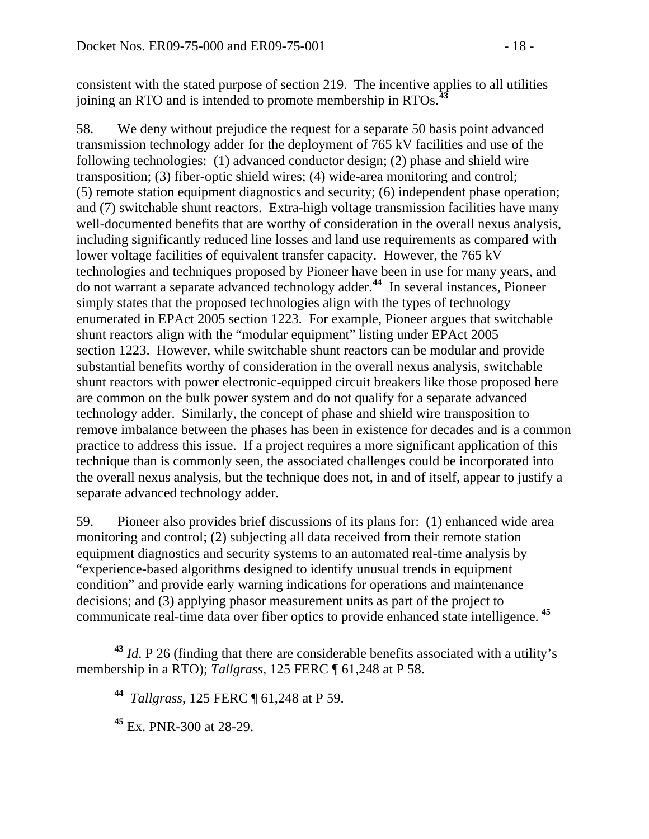consistent with the stated purpose of section 219. The incentive applies to all utilities joining an RTO and is intended to promote membership in RTOs.**<sup>43</sup>**

58. We deny without prejudice the request for a separate 50 basis point advanced transmission technology adder for the deployment of 765 kV facilities and use of the following technologies: (1) advanced conductor design; (2) phase and shield wire transposition; (3) fiber-optic shield wires; (4) wide-area monitoring and control; (5) remote station equipment diagnostics and security; (6) independent phase operation; and (7) switchable shunt reactors. Extra-high voltage transmission facilities have many well-documented benefits that are worthy of consideration in the overall nexus analysis, including significantly reduced line losses and land use requirements as compared with lower voltage facilities of equivalent transfer capacity. However, the 765 kV technologies and techniques proposed by Pioneer have been in use for many years, and do not warrant a separate advanced technology adder.**[44](#page-17-0)** In several instances, Pioneer simply states that the proposed technologies align with the types of technology enumerated in EPAct 2005 section 1223. For example, Pioneer argues that switchable shunt reactors align with the "modular equipment" listing under EPAct 2005 section 1223. However, while switchable shunt reactors can be modular and provide substantial benefits worthy of consideration in the overall nexus analysis, switchable shunt reactors with power electronic-equipped circuit breakers like those proposed here are common on the bulk power system and do not qualify for a separate advanced technology adder. Similarly, the concept of phase and shield wire transposition to remove imbalance between the phases has been in existence for decades and is a common practice to address this issue. If a project requires a more significant application of this technique than is commonly seen, the associated challenges could be incorporated into the overall nexus analysis, but the technique does not, in and of itself, appear to justify a separate advanced technology adder.

59. Pioneer also provides brief discussions of its plans for: (1) enhanced wide area monitoring and control; (2) subjecting all data received from their remote station equipment diagnostics and security systems to an automated real-time analysis by "experience-based algorithms designed to identify unusual trends in equipment condition" and provide early warning indications for operations and maintenance decisions; and (3) applying phasor measurement units as part of the project to communicate real-time data over fiber optics to provide enhanced state intelligence. **[45](#page-17-1)**

<span id="page-17-1"></span><span id="page-17-0"></span>**<sup>43</sup>** *Id*. P 26 (finding that there are considerable benefits associated with a utility's membership in a RTO); *Tallgrass*, 125 FERC ¶ 61,248 at P 58.

**<sup>44</sup>** *Tallgrass*, 125 FERC ¶ 61,248 at P 59.

**<sup>45</sup>** Ex. PNR-300 at 28-29.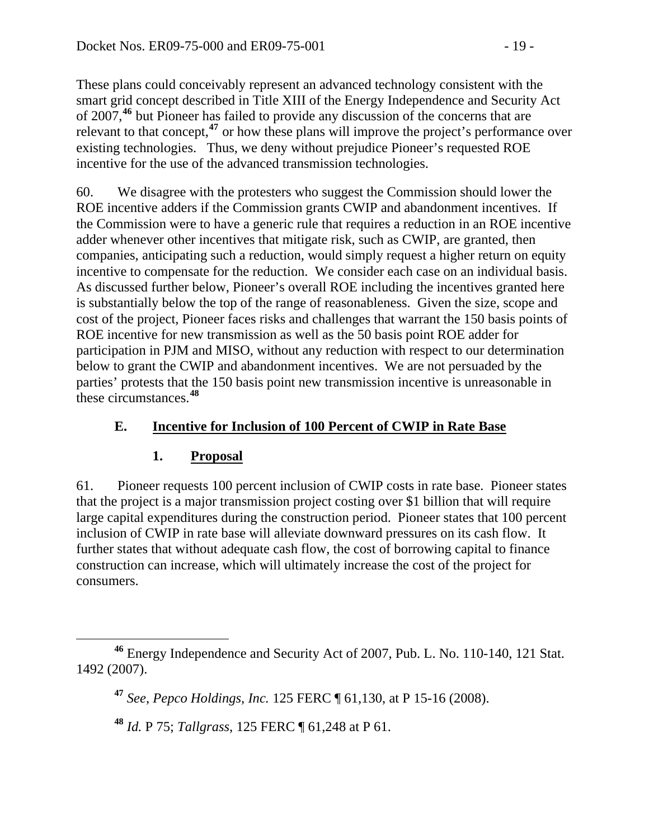These plans could conceivably represent an advanced technology consistent with the smart grid concept described in Title XIII of the Energy Independence and Security Act of 2007,**<sup>46</sup>** but Pioneer has failed to provide any discussion of the concerns that are relevant to that concept,**<sup>47</sup>** or how these plans will improve the project's performance over existing technologies. Thus, we deny without prejudice Pioneer's requested ROE incentive for the use of the advanced transmission technologies.

60. We disagree with the protesters who suggest the Commission should lower the ROE incentive adders if the Commission grants CWIP and abandonment incentives. If the Commission were to have a generic rule that requires a reduction in an ROE incentive adder whenever other incentives that mitigate risk, such as CWIP, are granted, then companies, anticipating such a reduction, would simply request a higher return on equity incentive to compensate for the reduction. We consider each case on an individual basis. As discussed further below, Pioneer's overall ROE including the incentives granted here is substantially below the top of the range of reasonableness. Given the size, scope and cost of the project, Pioneer faces risks and challenges that warrant the 150 basis points of ROE incentive for new transmission as well as the 50 basis point ROE adder for participation in PJM and MISO, without any reduction with respect to our determination below to grant the CWIP and abandonment incentives. We are not persuaded by the parties' protests that the 150 basis point new transmission incentive is unreasonable in these circumstances.**[48](#page-18-0)**

## **E. Incentive for Inclusion of 100 Percent of CWIP in Rate Base**

### **1. Proposal**

61. Pioneer requests 100 percent inclusion of CWIP costs in rate base. Pioneer states that the project is a major transmission project costing over \$1 billion that will require large capital expenditures during the construction period. Pioneer states that 100 percent inclusion of CWIP in rate base will alleviate downward pressures on its cash flow. It further states that without adequate cash flow, the cost of borrowing capital to finance construction can increase, which will ultimately increase the cost of the project for consumers.

<span id="page-18-0"></span>**<sup>46</sup>** Energy Independence and Security Act of 2007, Pub. L. No. 110-140, 121 Stat. 1492 (2007).

**<sup>47</sup>** *See*, *Pepco Holdings, Inc.* 125 FERC ¶ 61,130, at P 15-16 (2008).

**<sup>48</sup>** *Id.* P 75; *Tallgrass*, 125 FERC ¶ 61,248 at P 61.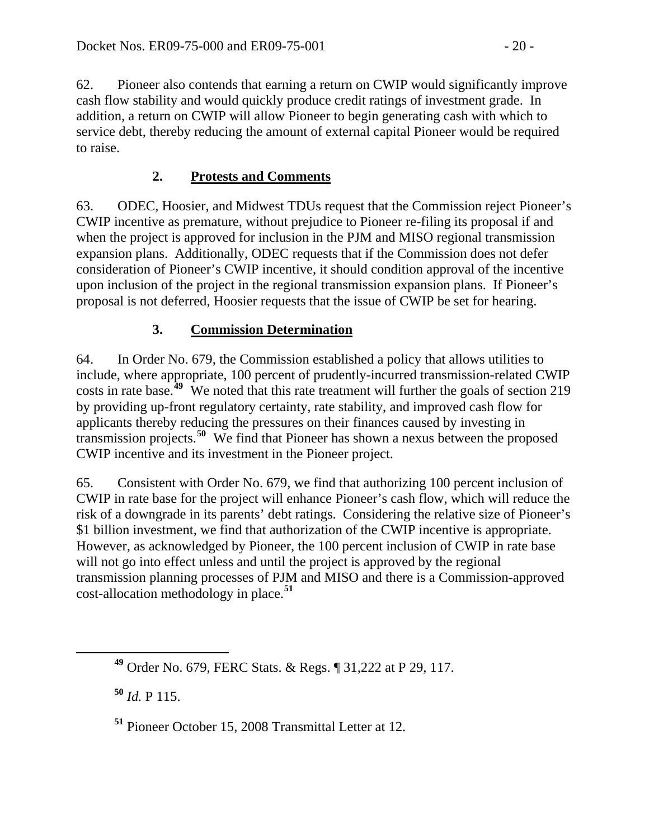62. Pioneer also contends that earning a return on CWIP would significantly improve cash flow stability and would quickly produce credit ratings of investment grade. In addition, a return on CWIP will allow Pioneer to begin generating cash with which to service debt, thereby reducing the amount of external capital Pioneer would be required to raise.

## **2. Protests and Comments**

63. ODEC, Hoosier, and Midwest TDUs request that the Commission reject Pioneer's CWIP incentive as premature, without prejudice to Pioneer re-filing its proposal if and when the project is approved for inclusion in the PJM and MISO regional transmission expansion plans. Additionally, ODEC requests that if the Commission does not defer consideration of Pioneer's CWIP incentive, it should condition approval of the incentive upon inclusion of the project in the regional transmission expansion plans. If Pioneer's proposal is not deferred, Hoosier requests that the issue of CWIP be set for hearing.

# **3. Commission Determination**

64. In Order No. 679, the Commission established a policy that allows utilities to include, where appropriate, 100 percent of prudently-incurred transmission-related CWIP costs in rate base.<sup>[49](#page-19-0)</sup> We noted that this rate treatment will further the goals of section 219 by providing up-front regulatory certainty, rate stability, and improved cash flow for applicants thereby reducing the pressures on their finances caused by investing in transmission projects.**[50](#page-19-1)** We find that Pioneer has shown a nexus between the proposed CWIP incentive and its investment in the Pioneer project.

65. Consistent with Order No. 679, we find that authorizing 100 percent inclusion of CWIP in rate base for the project will enhance Pioneer's cash flow, which will reduce the risk of a downgrade in its parents' debt ratings. Considering the relative size of Pioneer's \$1 billion investment, we find that authorization of the CWIP incentive is appropriate. However, as acknowledged by Pioneer, the 100 percent inclusion of CWIP in rate base will not go into effect unless and until the project is approved by the regional transmission planning processes of PJM and MISO and there is a Commission-approved cost-allocation methodology in place.**[51](#page-19-2)**

<span id="page-19-1"></span>**<sup>50</sup>** *Id.* P 115.

<span id="page-19-0"></span>**<sup>49</sup>** Order No. 679, FERC Stats. & Regs. ¶ 31,222 at P 29, 117.

<span id="page-19-2"></span>**<sup>51</sup>** Pioneer October 15, 2008 Transmittal Letter at 12.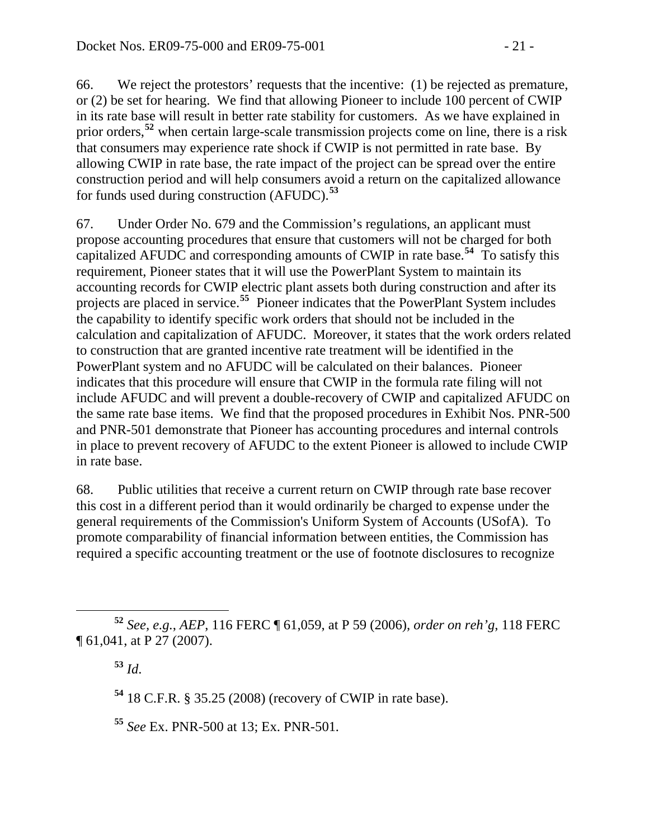66. We reject the protestors' requests that the incentive: (1) be rejected as premature, or (2) be set for hearing. We find that allowing Pioneer to include 100 percent of CWIP in its rate base will result in better rate stability for customers. As we have explained in prior orders,**[52](#page-20-0)** when certain large-scale transmission projects come on line, there is a risk that consumers may experience rate shock if CWIP is not permitted in rate base. By allowing CWIP in rate base, the rate impact of the project can be spread over the entire construction period and will help consumers avoid a return on the capitalized allowance for funds used during construction (AFUDC).**[53](#page-20-1)**

67. Under Order No. 679 and the Commission's regulations, an applicant must propose accounting procedures that ensure that customers will not be charged for both capitalized AFUDC and corresponding amounts of CWIP in rate base.**[54](#page-20-2)** To satisfy this requirement, Pioneer states that it will use the PowerPlant System to maintain its accounting records for CWIP electric plant assets both during construction and after its projects are placed in service.**[55](#page-20-3)** Pioneer indicates that the PowerPlant System includes the capability to identify specific work orders that should not be included in the calculation and capitalization of AFUDC. Moreover, it states that the work orders related to construction that are granted incentive rate treatment will be identified in the PowerPlant system and no AFUDC will be calculated on their balances. Pioneer indicates that this procedure will ensure that CWIP in the formula rate filing will not include AFUDC and will prevent a double-recovery of CWIP and capitalized AFUDC on the same rate base items. We find that the proposed procedures in Exhibit Nos. PNR-500 and PNR-501 demonstrate that Pioneer has accounting procedures and internal controls in place to prevent recovery of AFUDC to the extent Pioneer is allowed to include CWIP in rate base.

68. Public utilities that receive a current return on CWIP through rate base recover this cost in a different period than it would ordinarily be charged to expense under the general requirements of the Commission's Uniform System of Accounts (USofA). To promote comparability of financial information between entities, the Commission has required a specific accounting treatment or the use of footnote disclosures to recognize

**<sup>53</sup>** *Id*.

**<sup>54</sup>** 18 C.F.R. § 35.25 (2008) (recovery of CWIP in rate base).

<span id="page-20-3"></span>**<sup>55</sup>** *See* Ex. PNR-500 at 13; Ex. PNR-501*.*

<span id="page-20-2"></span><span id="page-20-1"></span><span id="page-20-0"></span>**<sup>52</sup>** *See, e.g.*, *AEP*, 116 FERC ¶ 61,059, at P 59 (2006), *order on reh'g*, 118 FERC ¶ 61,041, at P 27 (2007).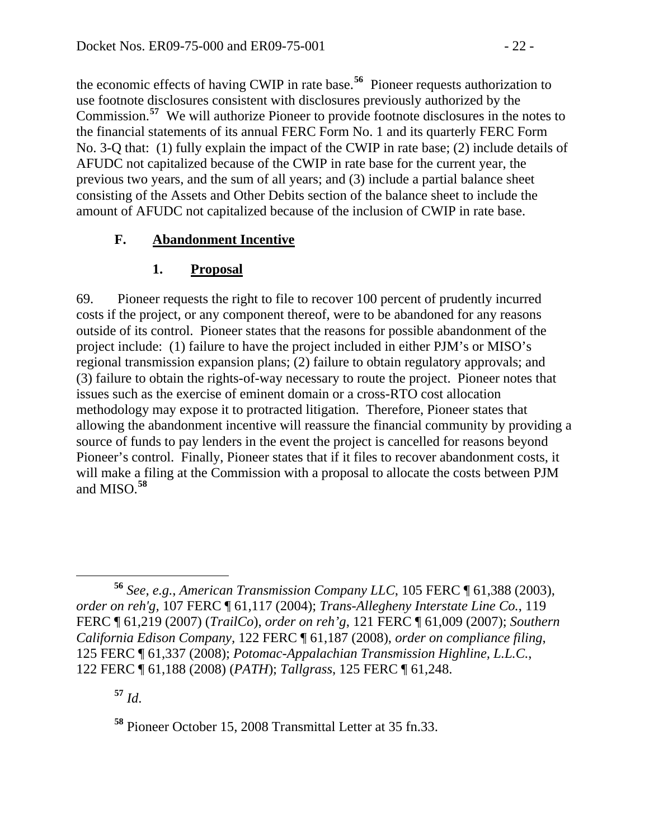the economic effects of having CWIP in rate base.**[56](#page-21-0)** Pioneer requests authorization to use footnote disclosures consistent with disclosures previously authorized by the Commission.**[57](#page-21-1)** We will authorize Pioneer to provide footnote disclosures in the notes to the financial statements of its annual FERC Form No. 1 and its quarterly FERC Form No. 3-Q that: (1) fully explain the impact of the CWIP in rate base; (2) include details of AFUDC not capitalized because of the CWIP in rate base for the current year, the previous two years, and the sum of all years; and (3) include a partial balance sheet consisting of the Assets and Other Debits section of the balance sheet to include the amount of AFUDC not capitalized because of the inclusion of CWIP in rate base.

### **F. Abandonment Incentive**

## **1. Proposal**

69. Pioneer requests the right to file to recover 100 percent of prudently incurred costs if the project, or any component thereof, were to be abandoned for any reasons outside of its control. Pioneer states that the reasons for possible abandonment of the project include: (1) failure to have the project included in either PJM's or MISO's regional transmission expansion plans; (2) failure to obtain regulatory approvals; and (3) failure to obtain the rights-of-way necessary to route the project. Pioneer notes that issues such as the exercise of eminent domain or a cross-RTO cost allocation methodology may expose it to protracted litigation. Therefore, Pioneer states that allowing the abandonment incentive will reassure the financial community by providing a source of funds to pay lenders in the event the project is cancelled for reasons beyond Pioneer's control. Finally, Pioneer states that if it files to recover abandonment costs, it will make a filing at the Commission with a proposal to allocate the costs between PJM and MISO.**[58](#page-21-2)**

<span id="page-21-1"></span>**<sup>57</sup>** *Id*.

<span id="page-21-0"></span> **<sup>56</sup>** *See, e.g.*, *American Transmission Company LLC*, 105 FERC ¶ 61,388 (2003), *order on reh'g,* 107 FERC ¶ 61,117 (2004); *Trans-Allegheny Interstate Line Co.*, 119 FERC ¶ 61,219 (2007) (*TrailCo*), *order on reh'g*, 121 FERC ¶ 61,009 (2007); *Southern California Edison Company,* 122 FERC ¶ 61,187 (2008), *order on compliance filing*, 125 FERC ¶ 61,337 (2008); *Potomac-Appalachian Transmission Highline, L.L.C.*, 122 FERC ¶ 61,188 (2008) (*PATH*); *Tallgrass*, 125 FERC ¶ 61,248.

<span id="page-21-2"></span>**<sup>58</sup>** Pioneer October 15, 2008 Transmittal Letter at 35 fn.33.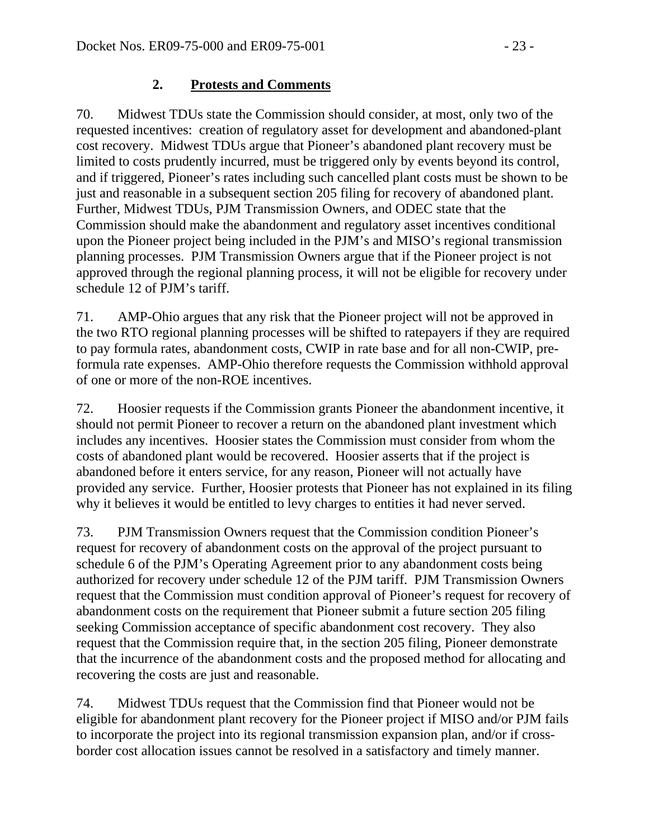#### **2. Protests and Comments**

70. Midwest TDUs state the Commission should consider, at most, only two of the requested incentives: creation of regulatory asset for development and abandoned-plant cost recovery. Midwest TDUs argue that Pioneer's abandoned plant recovery must be limited to costs prudently incurred, must be triggered only by events beyond its control, and if triggered, Pioneer's rates including such cancelled plant costs must be shown to be just and reasonable in a subsequent section 205 filing for recovery of abandoned plant. Further, Midwest TDUs, PJM Transmission Owners, and ODEC state that the Commission should make the abandonment and regulatory asset incentives conditional upon the Pioneer project being included in the PJM's and MISO's regional transmission planning processes. PJM Transmission Owners argue that if the Pioneer project is not approved through the regional planning process, it will not be eligible for recovery under schedule 12 of PJM's tariff.

71. AMP-Ohio argues that any risk that the Pioneer project will not be approved in the two RTO regional planning processes will be shifted to ratepayers if they are required to pay formula rates, abandonment costs, CWIP in rate base and for all non-CWIP, preformula rate expenses. AMP-Ohio therefore requests the Commission withhold approval of one or more of the non-ROE incentives.

72. Hoosier requests if the Commission grants Pioneer the abandonment incentive, it should not permit Pioneer to recover a return on the abandoned plant investment which includes any incentives. Hoosier states the Commission must consider from whom the costs of abandoned plant would be recovered. Hoosier asserts that if the project is abandoned before it enters service, for any reason, Pioneer will not actually have provided any service. Further, Hoosier protests that Pioneer has not explained in its filing why it believes it would be entitled to levy charges to entities it had never served.

73. PJM Transmission Owners request that the Commission condition Pioneer's request for recovery of abandonment costs on the approval of the project pursuant to schedule 6 of the PJM's Operating Agreement prior to any abandonment costs being authorized for recovery under schedule 12 of the PJM tariff. PJM Transmission Owners request that the Commission must condition approval of Pioneer's request for recovery of abandonment costs on the requirement that Pioneer submit a future section 205 filing seeking Commission acceptance of specific abandonment cost recovery. They also request that the Commission require that, in the section 205 filing, Pioneer demonstrate that the incurrence of the abandonment costs and the proposed method for allocating and recovering the costs are just and reasonable.

74. Midwest TDUs request that the Commission find that Pioneer would not be eligible for abandonment plant recovery for the Pioneer project if MISO and/or PJM fails to incorporate the project into its regional transmission expansion plan, and/or if crossborder cost allocation issues cannot be resolved in a satisfactory and timely manner.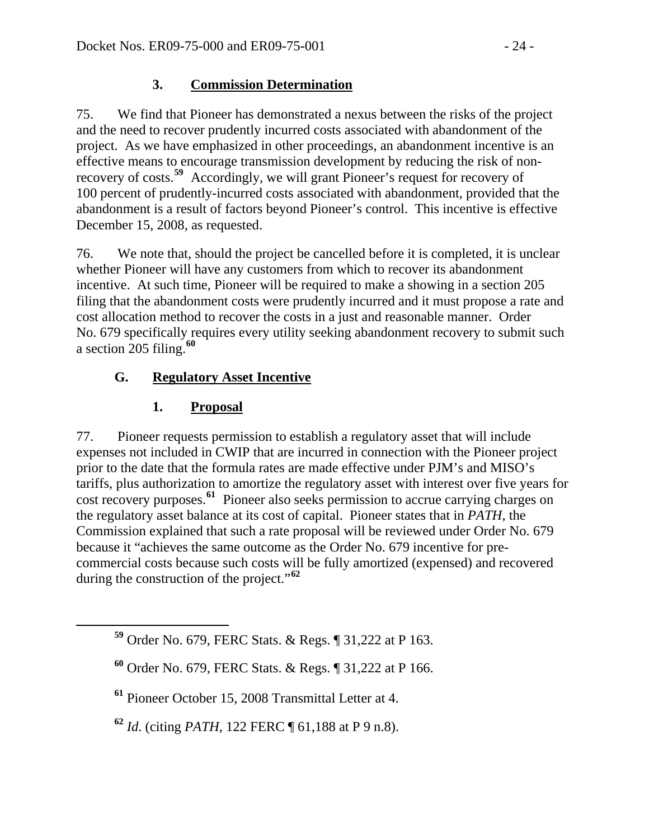### **3. Commission Determination**

75. We find that Pioneer has demonstrated a nexus between the risks of the project and the need to recover prudently incurred costs associated with abandonment of the project. As we have emphasized in other proceedings, an abandonment incentive is an effective means to encourage transmission development by reducing the risk of nonrecovery of costs.**[59](#page-23-0)** Accordingly, we will grant Pioneer's request for recovery of 100 percent of prudently-incurred costs associated with abandonment, provided that the abandonment is a result of factors beyond Pioneer's control. This incentive is effective December 15, 2008, as requested.

76. We note that, should the project be cancelled before it is completed, it is unclear whether Pioneer will have any customers from which to recover its abandonment incentive. At such time, Pioneer will be required to make a showing in a section 205 filing that the abandonment costs were prudently incurred and it must propose a rate and cost allocation method to recover the costs in a just and reasonable manner. Order No. 679 specifically requires every utility seeking abandonment recovery to submit such a section 205 filing.**[60](#page-23-1)**

### **G. Regulatory Asset Incentive**

#### **1. Proposal**

77. Pioneer requests permission to establish a regulatory asset that will include expenses not included in CWIP that are incurred in connection with the Pioneer project prior to the date that the formula rates are made effective under PJM's and MISO's tariffs, plus authorization to amortize the regulatory asset with interest over five years for cost recovery purposes.**[61](#page-23-2)** Pioneer also seeks permission to accrue carrying charges on the regulatory asset balance at its cost of capital. Pioneer states that in *PATH*, the Commission explained that such a rate proposal will be reviewed under Order No. 679 because it "achieves the same outcome as the Order No. 679 incentive for precommercial costs because such costs will be fully amortized (expensed) and recovered during the construction of the project."**[62](#page-23-3)**

<span id="page-23-0"></span>**<sup>59</sup>** Order No. 679, FERC Stats. & Regs. ¶ 31,222 at P 163.

<span id="page-23-1"></span>**<sup>60</sup>** Order No. 679, FERC Stats. & Regs. ¶ 31,222 at P 166.

<span id="page-23-2"></span>**<sup>61</sup>** Pioneer October 15, 2008 Transmittal Letter at 4.

<span id="page-23-3"></span>**<sup>62</sup>** *Id*. (citing *PATH*, 122 FERC ¶ 61,188 at P 9 n.8).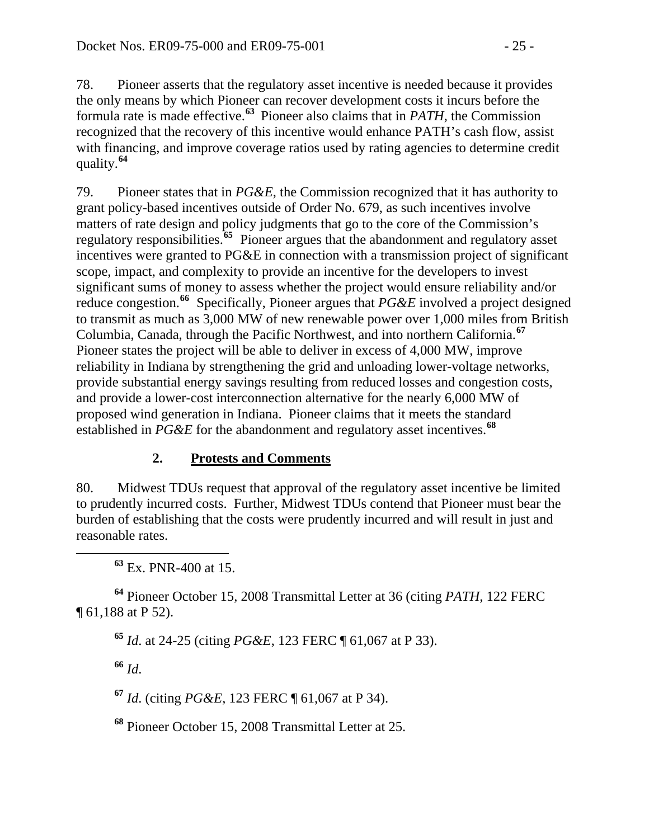78. Pioneer asserts that the regulatory asset incentive is needed because it provides the only means by which Pioneer can recover development costs it incurs before the formula rate is made effective.**[63](#page-24-0)** Pioneer also claims that in *PATH*, the Commission recognized that the recovery of this incentive would enhance PATH's cash flow, assist with financing, and improve coverage ratios used by rating agencies to determine credit quality.**[64](#page-24-1)**

79. Pioneer states that in *PG&E*, the Commission recognized that it has authority to grant policy-based incentives outside of Order No. 679, as such incentives involve matters of rate design and policy judgments that go to the core of the Commission's regulatory responsibilities.**[65](#page-24-2)** Pioneer argues that the abandonment and regulatory asset incentives were granted to PG&E in connection with a transmission project of significant scope, impact, and complexity to provide an incentive for the developers to invest significant sums of money to assess whether the project would ensure reliability and/or reduce congestion.**[66](#page-24-3)** Specifically, Pioneer argues that *PG&E* involved a project designed to transmit as much as 3,000 MW of new renewable power over 1,000 miles from British Columbia, Canada, through the Pacific Northwest, and into northern California.**[67](#page-24-4)** Pioneer states the project will be able to deliver in excess of 4,000 MW, improve reliability in Indiana by strengthening the grid and unloading lower-voltage networks, provide substantial energy savings resulting from reduced losses and congestion costs, and provide a lower-cost interconnection alternative for the nearly 6,000 MW of proposed wind generation in Indiana. Pioneer claims that it meets the standard established in *PG&E* for the abandonment and regulatory asset incentives.**[68](#page-24-5)**

### **2. Protests and Comments**

80. Midwest TDUs request that approval of the regulatory asset incentive be limited to prudently incurred costs. Further, Midwest TDUs contend that Pioneer must bear the burden of establishing that the costs were prudently incurred and will result in just and reasonable rates.

**<sup>63</sup>** Ex. PNR-400 at 15.

<span id="page-24-3"></span><span id="page-24-2"></span><span id="page-24-1"></span><span id="page-24-0"></span>**<sup>64</sup>** Pioneer October 15, 2008 Transmittal Letter at 36 (citing *PATH*, 122 FERC ¶ 61,188 at P 52).

**<sup>65</sup>** *Id*. at 24-25 (citing *PG&E*, 123 FERC ¶ 61,067 at P 33).

**<sup>66</sup>** *Id*.

<span id="page-24-4"></span>**<sup>67</sup>** *Id*. (citing *PG&E*, 123 FERC ¶ 61,067 at P 34).

<span id="page-24-5"></span>**<sup>68</sup>** Pioneer October 15, 2008 Transmittal Letter at 25.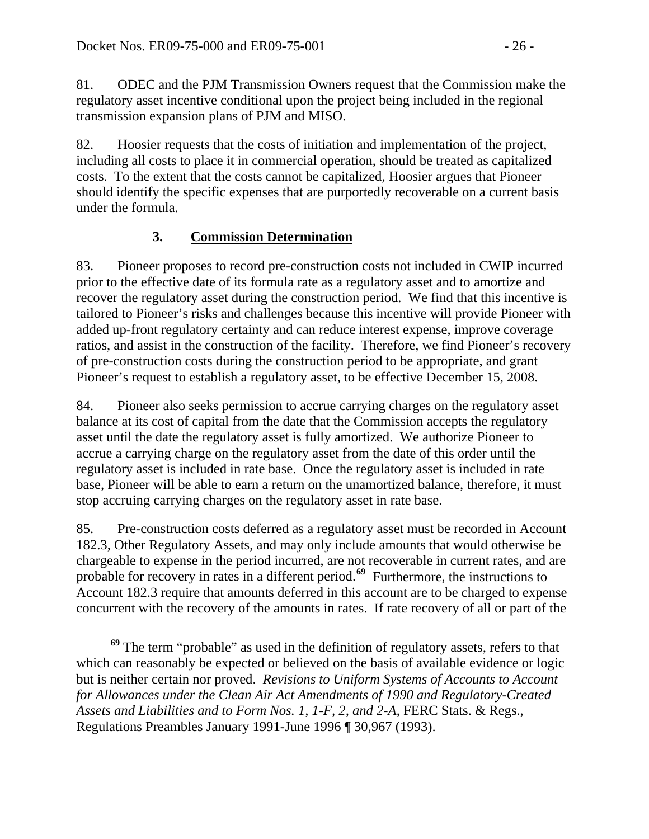81. ODEC and the PJM Transmission Owners request that the Commission make the regulatory asset incentive conditional upon the project being included in the regional transmission expansion plans of PJM and MISO.

82. Hoosier requests that the costs of initiation and implementation of the project, including all costs to place it in commercial operation, should be treated as capitalized costs. To the extent that the costs cannot be capitalized, Hoosier argues that Pioneer should identify the specific expenses that are purportedly recoverable on a current basis under the formula.

## **3. Commission Determination**

83. Pioneer proposes to record pre-construction costs not included in CWIP incurred prior to the effective date of its formula rate as a regulatory asset and to amortize and recover the regulatory asset during the construction period. We find that this incentive is tailored to Pioneer's risks and challenges because this incentive will provide Pioneer with added up-front regulatory certainty and can reduce interest expense, improve coverage ratios, and assist in the construction of the facility. Therefore, we find Pioneer's recovery of pre-construction costs during the construction period to be appropriate, and grant Pioneer's request to establish a regulatory asset, to be effective December 15, 2008.

84. Pioneer also seeks permission to accrue carrying charges on the regulatory asset balance at its cost of capital from the date that the Commission accepts the regulatory asset until the date the regulatory asset is fully amortized. We authorize Pioneer to accrue a carrying charge on the regulatory asset from the date of this order until the regulatory asset is included in rate base. Once the regulatory asset is included in rate base, Pioneer will be able to earn a return on the unamortized balance, therefore, it must stop accruing carrying charges on the regulatory asset in rate base.

85. Pre-construction costs deferred as a regulatory asset must be recorded in Account 182.3, Other Regulatory Assets, and may only include amounts that would otherwise be chargeable to expense in the period incurred, are not recoverable in current rates, and are probable for recovery in rates in a different period.**[69](#page-25-0)** Furthermore, the instructions to [Account 182.3](javascript:rJumpInDocTo() require that amounts deferred in this [account](javascript:rJumpInDocTo() are to be charged to expense concurrent with the recovery of the amounts in rates. If rate recovery of all or part of the

<span id="page-25-0"></span> $\overline{a}$  **<sup>69</sup>** The term "probable" as used in the definition of regulatory assets, refers to that which can reasonably be expected or believed on the basis of available evidence or logic but is neither certain nor proved. *Revisions to Uniform Systems of Accounts to Account for Allowances under the Clean Air Act Amendments of 1990 and Regulatory-Created Assets and Liabilities and to Form Nos. 1, 1-F, 2, and 2-A*, FERC Stats. & Regs., Regulations Preambles January 1991-June 1996 [¶ 30,967](javascript:rDoDocLink() (1993).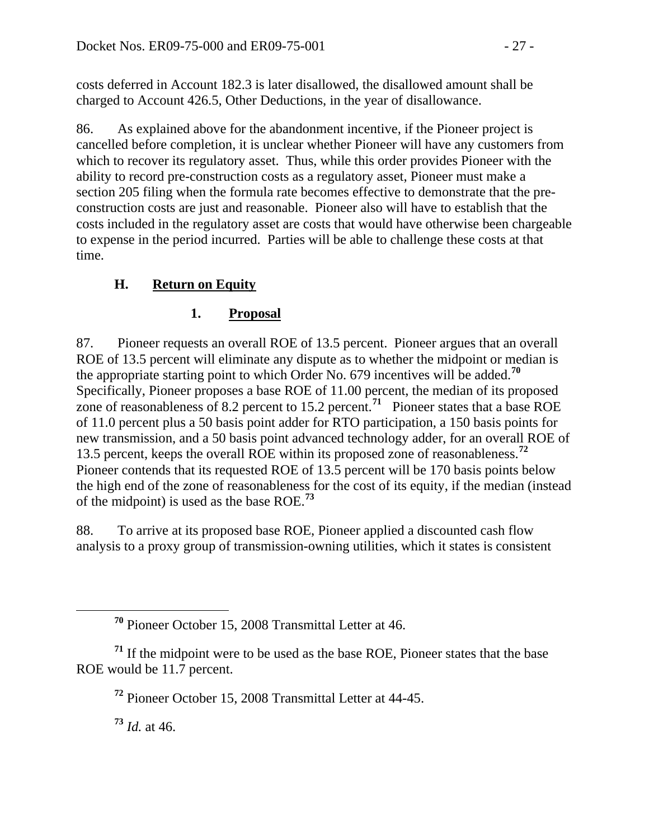costs deferred in Account 182.3 is later disallowed, the disallowed amount shall be charged to Account 426.5, Other Deductions, in the year of disallowance.

86. As explained above for the abandonment incentive, if the Pioneer project is cancelled before completion, it is unclear whether Pioneer will have any customers from which to recover its regulatory asset. Thus, while this order provides Pioneer with the ability to record pre-construction costs as a regulatory asset, Pioneer must make a section 205 filing when the formula rate becomes effective to demonstrate that the preconstruction costs are just and reasonable. Pioneer also will have to establish that the costs included in the regulatory asset are costs that would have otherwise been chargeable to expense in the period incurred. Parties will be able to challenge these costs at that time.

## **H. Return on Equity**

# **1. Proposal**

87. Pioneer requests an overall ROE of 13.5 percent. Pioneer argues that an overall ROE of 13.5 percent will eliminate any dispute as to whether the midpoint or median is the appropriate starting point to which Order No. 679 incentives will be added.**[70](#page-26-0)** Specifically, Pioneer proposes a base ROE of 11.00 percent, the median of its proposed zone of reasonableness of 8.2 percent to 15.2 percent.**[71](#page-26-1)** Pioneer states that a base ROE of 11.0 percent plus a 50 basis point adder for RTO participation, a 150 basis points for new transmission, and a 50 basis point advanced technology adder, for an overall ROE of 13.5 percent, keeps the overall ROE within its proposed zone of reasonableness.**[72](#page-26-2)** Pioneer contends that its requested ROE of 13.5 percent will be 170 basis points below the high end of the zone of reasonableness for the cost of its equity, if the median (instead of the midpoint) is used as the base ROE.**[73](#page-26-3)**

88. To arrive at its proposed base ROE, Pioneer applied a discounted cash flow analysis to a proxy group of transmission-owning utilities, which it states is consistent

**<sup>73</sup>** *Id.* at 46.

**<sup>70</sup>** Pioneer October 15, 2008 Transmittal Letter at 46.

<span id="page-26-3"></span><span id="page-26-2"></span><span id="page-26-1"></span><span id="page-26-0"></span>**<sup>71</sup>** If the midpoint were to be used as the base ROE, Pioneer states that the base ROE would be 11.7 percent.

**<sup>72</sup>** Pioneer October 15, 2008 Transmittal Letter at 44-45.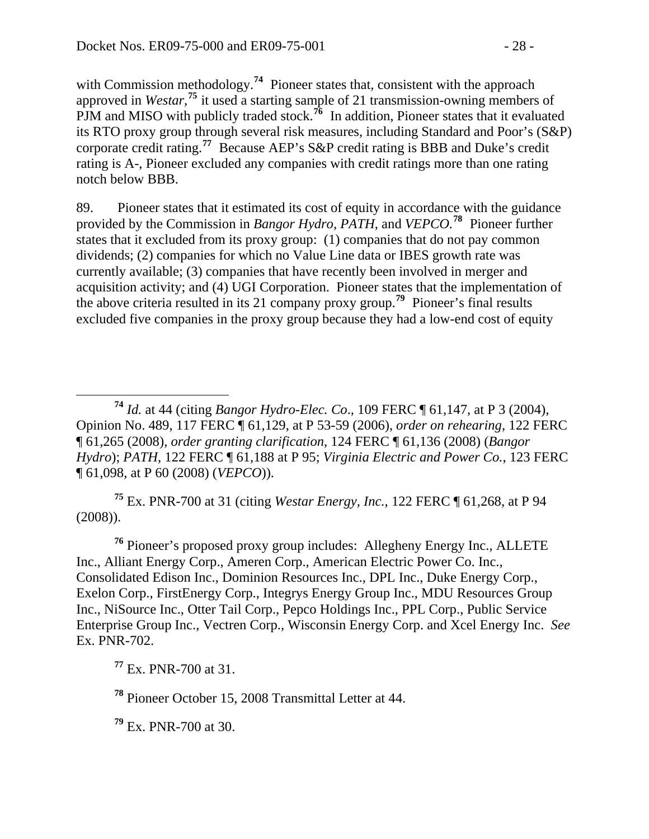with Commission methodology.<sup>[74](#page-27-0)</sup> Pioneer states that, consistent with the approach approved in *Westar*<sup>[75](#page-27-1)</sup> it used a starting sample of 21 transmission-owning members of PJM and MISO with publicly traded stock.<sup>[76](#page-27-2)</sup> In addition, Pioneer states that it evaluated its RTO proxy group through several risk measures, including Standard and Poor's (S&P) corporate credit rating.**[77](#page-27-3)** Because AEP's S&P credit rating is BBB and Duke's credit rating is A-, Pioneer excluded any companies with credit ratings more than one rating notch below BBB.

89. Pioneer states that it estimated its cost of equity in accordance with the guidance provided by the Commission in *Bangor Hydro*, *PATH*, and *VEPCO.***[78](#page-27-4)** Pioneer further states that it excluded from its proxy group: (1) companies that do not pay common dividends; (2) companies for which no Value Line data or IBES growth rate was currently available; (3) companies that have recently been involved in merger and acquisition activity; and (4) UGI Corporation. Pioneer states that the implementation of the above criteria resulted in its 21 company proxy group.**[79](#page-27-5)** Pioneer's final results excluded five companies in the proxy group because they had a low-end cost of equity

<span id="page-27-1"></span>**<sup>75</sup>** Ex. PNR-700 at 31 (citing *Westar Energy, Inc.*, 122 FERC ¶ 61,268, at P 94 (2008)).

<span id="page-27-2"></span>**<sup>76</sup>** Pioneer's proposed proxy group includes: Allegheny Energy Inc., ALLETE Inc., Alliant Energy Corp., Ameren Corp., American Electric Power Co. Inc., Consolidated Edison Inc., Dominion Resources Inc., DPL Inc., Duke Energy Corp., Exelon Corp., FirstEnergy Corp., Integrys Energy Group Inc., MDU Resources Group Inc., NiSource Inc., Otter Tail Corp., Pepco Holdings Inc., PPL Corp., Public Service Enterprise Group Inc., Vectren Corp., Wisconsin Energy Corp. and Xcel Energy Inc. *See* Ex. PNR-702.

<span id="page-27-3"></span>**<sup>77</sup>** Ex. PNR-700 at 31.

<span id="page-27-4"></span>**<sup>78</sup>** Pioneer October 15, 2008 Transmittal Letter at 44.

<span id="page-27-5"></span>**<sup>79</sup>** Ex. PNR-700 at 30.

<span id="page-27-0"></span>**<sup>74</sup>** *Id.* at 44 (citing *Bangor Hydro-Elec. Co*., 109 FERC ¶ 61,147, at P 3 (2004), Opinion No. 489, 117 FERC ¶ 61,129, at P 53-59 (2006), *order on rehearing*, 122 FERC ¶ 61,265 (2008), *order granting clarification*, 124 FERC ¶ 61,136 (2008) (*Bangor Hydro*); *PATH*, 122 FERC ¶ 61,188 at P 95; *Virginia Electric and Power Co.*, 123 FERC ¶ 61,098, at P 60 (2008) (*VEPCO*)).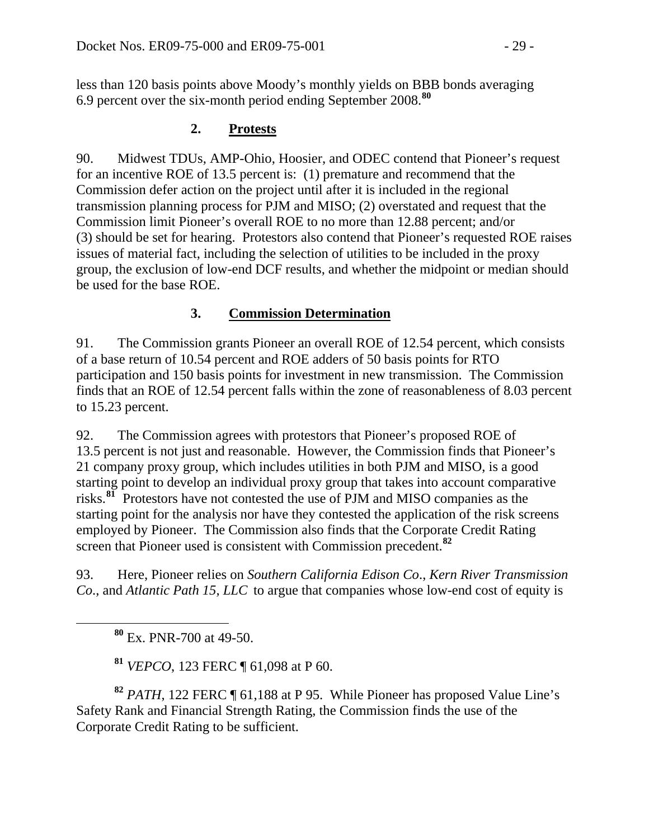less than 120 basis points above Moody's monthly yields on BBB bonds averaging 6.9 percent over the six-month period ending September 2008.**<sup>80</sup>**

#### **2. Protests**

90. Midwest TDUs, AMP-Ohio, Hoosier, and ODEC contend that Pioneer's request for an incentive ROE of 13.5 percent is: (1) premature and recommend that the Commission defer action on the project until after it is included in the regional transmission planning process for PJM and MISO; (2) overstated and request that the Commission limit Pioneer's overall ROE to no more than 12.88 percent; and/or (3) should be set for hearing. Protestors also contend that Pioneer's requested ROE raises issues of material fact, including the selection of utilities to be included in the proxy group, the exclusion of low-end DCF results, and whether the midpoint or median should be used for the base ROE.

### **3. Commission Determination**

91. The Commission grants Pioneer an overall ROE of 12.54 percent, which consists of a base return of 10.54 percent and ROE adders of 50 basis points for RTO participation and 150 basis points for investment in new transmission. The Commission finds that an ROE of 12.54 percent falls within the zone of reasonableness of 8.03 percent to 15.23 percent.

92. The Commission agrees with protestors that Pioneer's proposed ROE of 13.5 percent is not just and reasonable. However, the Commission finds that Pioneer's 21 company proxy group, which includes utilities in both PJM and MISO, is a good starting point to develop an individual proxy group that takes into account comparative risks.**[81](#page-28-0)** Protestors have not contested the use of PJM and MISO companies as the starting point for the analysis nor have they contested the application of the risk screens employed by Pioneer. The Commission also finds that the Corporate Credit Rating screen that Pioneer used is consistent with Commission precedent.<sup>82</sup>

93. Here, Pioneer relies on *Southern California Edison Co*., *Kern River Transmission Co*., and *Atlantic Path 15, LLC* to argue that companies whose low-end cost of equity is

**<sup>80</sup>** Ex. PNR-700 at 49-50.

 $\overline{a}$ 

**<sup>81</sup>** *VEPCO*, 123 FERC ¶ 61,098 at P 60.

<span id="page-28-0"></span>**<sup>82</sup>** *PATH*, 122 FERC ¶ 61,188 at P 95. While Pioneer has proposed Value Line's Safety Rank and Financial Strength Rating, the Commission finds the use of the Corporate Credit Rating to be sufficient.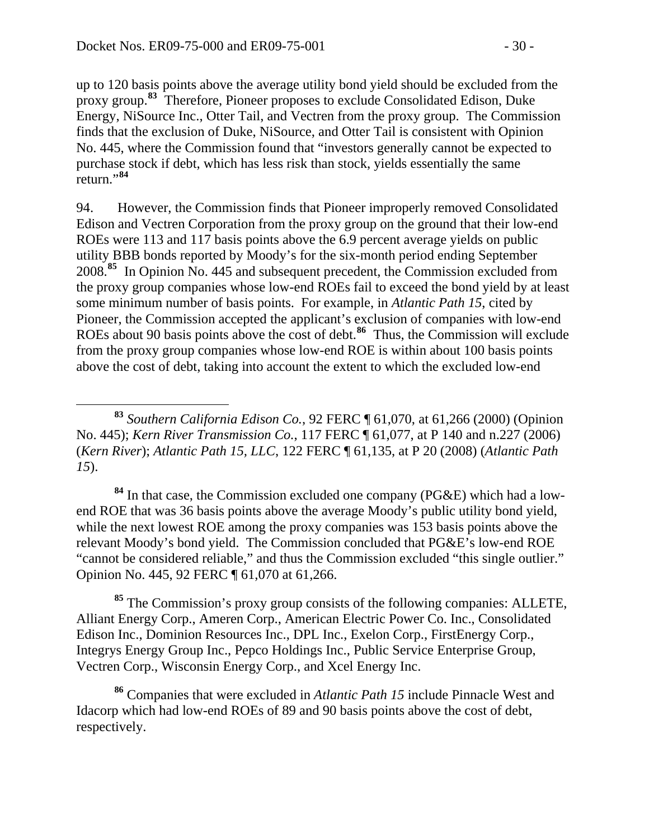up to 120 basis points above the average utility bond yield should be excluded from the proxy group.**<sup>83</sup>** Therefore, Pioneer proposes to exclude Consolidated Edison, Duke Energy, NiSource Inc., Otter Tail, and Vectren from the proxy group. The Commission finds that the exclusion of Duke, NiSource, and Otter Tail is consistent with Opinion No. 445, where the Commission found that "investors generally cannot be expected to purchase stock if debt, which has less risk than stock, yields essentially the same return."**<sup>84</sup>**

94. However, the Commission finds that Pioneer improperly removed Consolidated Edison and Vectren Corporation from the proxy group on the ground that their low-end ROEs were 113 and 117 basis points above the 6.9 percent average yields on public utility BBB bonds reported by Moody's for the six-month period ending September 2008.**[85](#page-29-0)** In Opinion No. 445 and subsequent precedent, the Commission excluded from the proxy group companies whose low-end ROEs fail to exceed the bond yield by at least some minimum number of basis points. For example, in *Atlantic Path 15*, cited by Pioneer, the Commission accepted the applicant's exclusion of companies with low-end ROEs about 90 basis points above the cost of debt.**[86](#page-29-1)** Thus, the Commission will exclude from the proxy group companies whose low-end ROE is within about 100 basis points above the cost of debt, taking into account the extent to which the excluded low-end

**<sup>84</sup>** In that case, the Commission excluded one company (PG&E) which had a lowend ROE that was 36 basis points above the average Moody's public utility bond yield, while the next lowest ROE among the proxy companies was 153 basis points above the relevant Moody's bond yield. The Commission concluded that PG&E's low-end ROE "cannot be considered reliable," and thus the Commission excluded "this single outlier." Opinion No. 445, 92 FERC ¶ 61,070 at 61,266.

<span id="page-29-0"></span>**<sup>85</sup>** The Commission's proxy group consists of the following companies: ALLETE, Alliant Energy Corp., Ameren Corp., American Electric Power Co. Inc., Consolidated Edison Inc., Dominion Resources Inc., DPL Inc., Exelon Corp., FirstEnergy Corp., Integrys Energy Group Inc., Pepco Holdings Inc., Public Service Enterprise Group, Vectren Corp., Wisconsin Energy Corp., and Xcel Energy Inc.

<span id="page-29-1"></span>**<sup>86</sup>** Companies that were excluded in *Atlantic Path 15* include Pinnacle West and Idacorp which had low-end ROEs of 89 and 90 basis points above the cost of debt, respectively.

**<sup>83</sup>** *Southern California Edison Co.*, 92 FERC ¶ 61,070, at 61,266 (2000) (Opinion No. 445); *Kern River Transmission Co.*, 117 FERC ¶ 61,077, at P 140 and n.227 (2006) (*Kern River*); *Atlantic Path 15, LLC*, 122 FERC ¶ 61,135, at P 20 (2008) (*Atlantic Path 15*).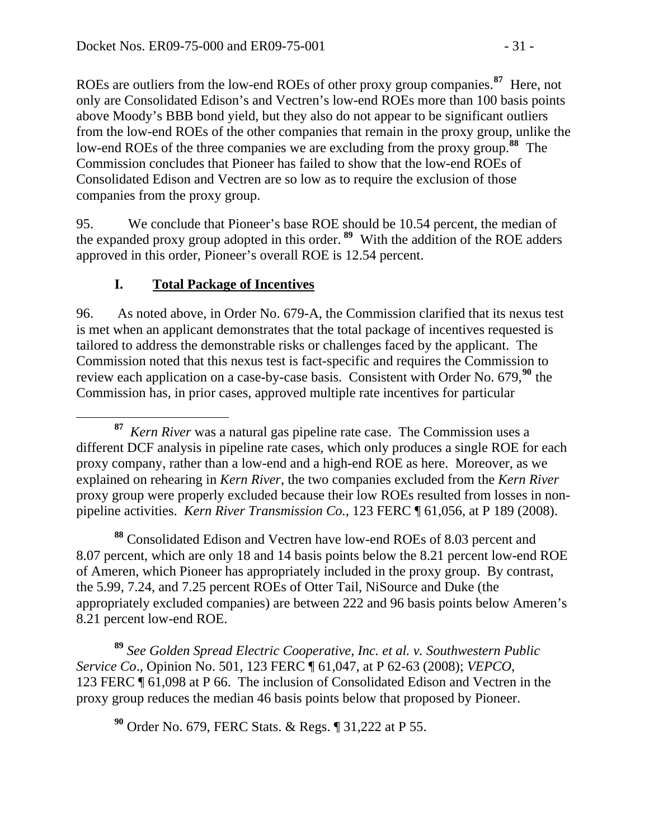ROEs are outliers from the low-end ROEs of other proxy group companies.**[87](#page-30-0)** Here, not only are Consolidated Edison's and Vectren's low-end ROEs more than 100 basis points above Moody's BBB bond yield, but they also do not appear to be significant outliers from the low-end ROEs of the other companies that remain in the proxy group, unlike the low-end ROEs of the three companies we are excluding from the proxy group.**[88](#page-30-1)** The Commission concludes that Pioneer has failed to show that the low-end ROEs of Consolidated Edison and Vectren are so low as to require the exclusion of those companies from the proxy group.

95. We conclude that Pioneer's base ROE should be 10.54 percent, the median of the expanded proxy group adopted in this order. **[89](#page-30-2)** With the addition of the ROE adders approved in this order, Pioneer's overall ROE is 12.54 percent.

### **I. Total Package of Incentives**

96. As noted above, in Order No. 679-A, the Commission clarified that its nexus test is met when an applicant demonstrates that the total package of incentives requested is tailored to address the demonstrable risks or challenges faced by the applicant. The Commission noted that this nexus test is fact-specific and requires the Commission to review each application on a case-by-case basis. Consistent with Order No. 679,**[90](#page-30-3)** the Commission has, in prior cases, approved multiple rate incentives for particular

<span id="page-30-1"></span>**<sup>88</sup>** Consolidated Edison and Vectren have low-end ROEs of 8.03 percent and 8.07 percent, which are only 18 and 14 basis points below the 8.21 percent low-end ROE of Ameren, which Pioneer has appropriately included in the proxy group. By contrast, the 5.99, 7.24, and 7.25 percent ROEs of Otter Tail, NiSource and Duke (the appropriately excluded companies) are between 222 and 96 basis points below Ameren's 8.21 percent low-end ROE.

<span id="page-30-3"></span><span id="page-30-2"></span>**<sup>89</sup>** *See Golden Spread Electric Cooperative, Inc. et al. v. Southwestern Public Service Co*., Opinion No. 501, 123 FERC ¶ 61,047, at P 62-63 (2008); *VEPCO*, 123 FERC ¶ 61,098 at P 66. The inclusion of Consolidated Edison and Vectren in the proxy group reduces the median 46 basis points below that proposed by Pioneer.

**<sup>90</sup>** Order No. 679, FERC Stats. & Regs. ¶ 31,222 at P 55.

<span id="page-30-0"></span>**<sup>87</sup>** *Kern River* was a natural gas pipeline rate case. The Commission uses a different DCF analysis in pipeline rate cases, which only produces a single ROE for each proxy company, rather than a low-end and a high-end ROE as here. Moreover, as we explained on rehearing in *Kern River*, the two companies excluded from the *Kern River* proxy group were properly excluded because their low ROEs resulted from losses in nonpipeline activities. *Kern River Transmission Co.*, 123 FERC ¶ 61,056, at P 189 (2008).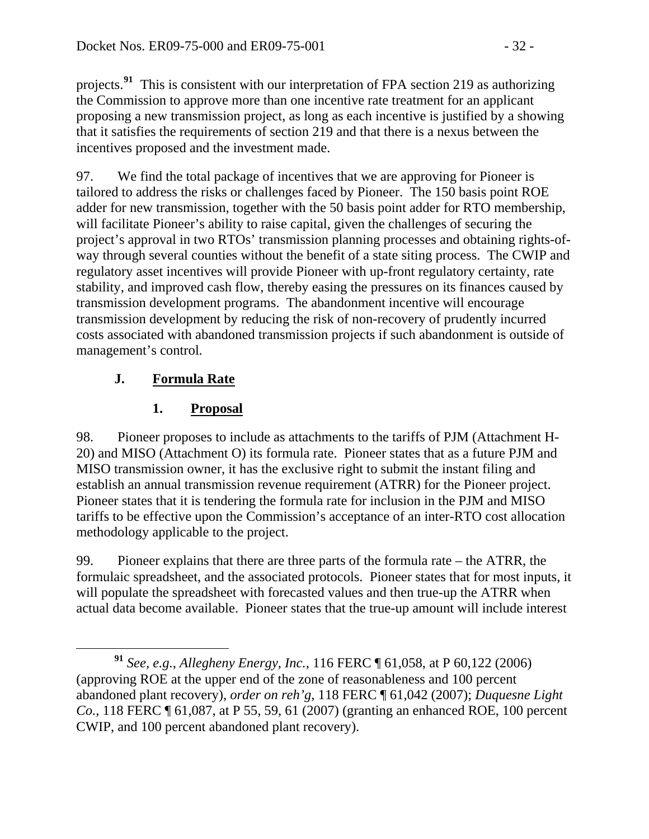projects.**<sup>91</sup>** This is consistent with our interpretation of FPA section 219 as authorizing the Commission to approve more than one incentive rate treatment for an applicant proposing a new transmission project, as long as each incentive is justified by a showing that it satisfies the requirements of section 219 and that there is a nexus between the incentives proposed and the investment made.

97. We find the total package of incentives that we are approving for Pioneer is tailored to address the risks or challenges faced by Pioneer. The 150 basis point ROE adder for new transmission, together with the 50 basis point adder for RTO membership, will facilitate Pioneer's ability to raise capital, given the challenges of securing the project's approval in two RTOs' transmission planning processes and obtaining rights-ofway through several counties without the benefit of a state siting process. The CWIP and regulatory asset incentives will provide Pioneer with up-front regulatory certainty, rate stability, and improved cash flow, thereby easing the pressures on its finances caused by transmission development programs. The abandonment incentive will encourage transmission development by reducing the risk of non-recovery of prudently incurred costs associated with abandoned transmission projects if such abandonment is outside of management's control.

# **J. Formula Rate**

# **1. Proposal**

98. Pioneer proposes to include as attachments to the tariffs of PJM (Attachment H-20) and MISO (Attachment O) its formula rate. Pioneer states that as a future PJM and MISO transmission owner, it has the exclusive right to submit the instant filing and establish an annual transmission revenue requirement (ATRR) for the Pioneer project. Pioneer states that it is tendering the formula rate for inclusion in the PJM and MISO tariffs to be effective upon the Commission's acceptance of an inter-RTO cost allocation methodology applicable to the project.

99. Pioneer explains that there are three parts of the formula rate – the ATRR, the formulaic spreadsheet, and the associated protocols. Pioneer states that for most inputs, it will populate the spreadsheet with forecasted values and then true-up the ATRR when actual data become available. Pioneer states that the true-up amount will include interest

**<sup>91</sup>** *See, e.g.*, *Allegheny Energy, Inc.*, 116 FERC ¶ 61,058, at P 60,122 (2006) (approving ROE at the upper end of the zone of reasonableness and 100 percent abandoned plant recovery), *order on reh'g*, 118 FERC ¶ 61,042 (2007); *Duquesne Light Co.*, 118 FERC ¶ 61,087, at P 55, 59, 61 (2007) (granting an enhanced ROE, 100 percent CWIP, and 100 percent abandoned plant recovery).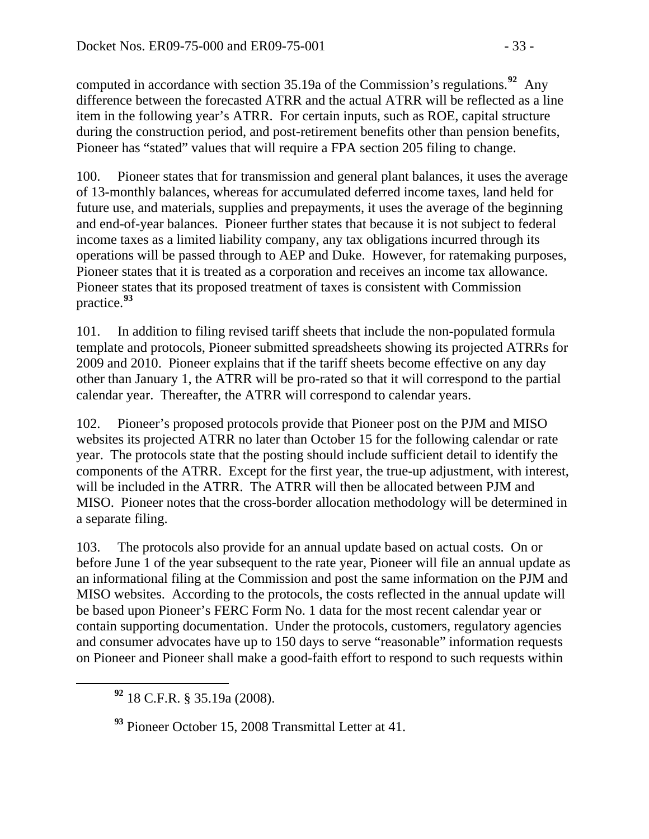computed in accordance with section 35.19a of the Commission's regulations.**<sup>92</sup>** Any difference between the forecasted ATRR and the actual ATRR will be reflected as a line item in the following year's ATRR. For certain inputs, such as ROE, capital structure during the construction period, and post-retirement benefits other than pension benefits, Pioneer has "stated" values that will require a FPA section 205 filing to change.

100. Pioneer states that for transmission and general plant balances, it uses the average of 13-monthly balances, whereas for accumulated deferred income taxes, land held for future use, and materials, supplies and prepayments, it uses the average of the beginning and end-of-year balances. Pioneer further states that because it is not subject to federal income taxes as a limited liability company, any tax obligations incurred through its operations will be passed through to AEP and Duke. However, for ratemaking purposes, Pioneer states that it is treated as a corporation and receives an income tax allowance. Pioneer states that its proposed treatment of taxes is consistent with Commission practice.**[93](#page-32-0)**

101. In addition to filing revised tariff sheets that include the non-populated formula template and protocols, Pioneer submitted spreadsheets showing its projected ATRRs for 2009 and 2010. Pioneer explains that if the tariff sheets become effective on any day other than January 1, the ATRR will be pro-rated so that it will correspond to the partial calendar year. Thereafter, the ATRR will correspond to calendar years.

102. Pioneer's proposed protocols provide that Pioneer post on the PJM and MISO websites its projected ATRR no later than October 15 for the following calendar or rate year. The protocols state that the posting should include sufficient detail to identify the components of the ATRR. Except for the first year, the true-up adjustment, with interest, will be included in the ATRR. The ATRR will then be allocated between PJM and MISO. Pioneer notes that the cross-border allocation methodology will be determined in a separate filing.

103. The protocols also provide for an annual update based on actual costs. On or before June 1 of the year subsequent to the rate year, Pioneer will file an annual update as an informational filing at the Commission and post the same information on the PJM and MISO websites. According to the protocols, the costs reflected in the annual update will be based upon Pioneer's FERC Form No. 1 data for the most recent calendar year or contain supporting documentation. Under the protocols, customers, regulatory agencies and consumer advocates have up to 150 days to serve "reasonable" information requests on Pioneer and Pioneer shall make a good-faith effort to respond to such requests within

**<sup>92</sup>** 18 C.F.R. § 35.19a (2008).

<span id="page-32-0"></span>**<sup>93</sup>** Pioneer October 15, 2008 Transmittal Letter at 41.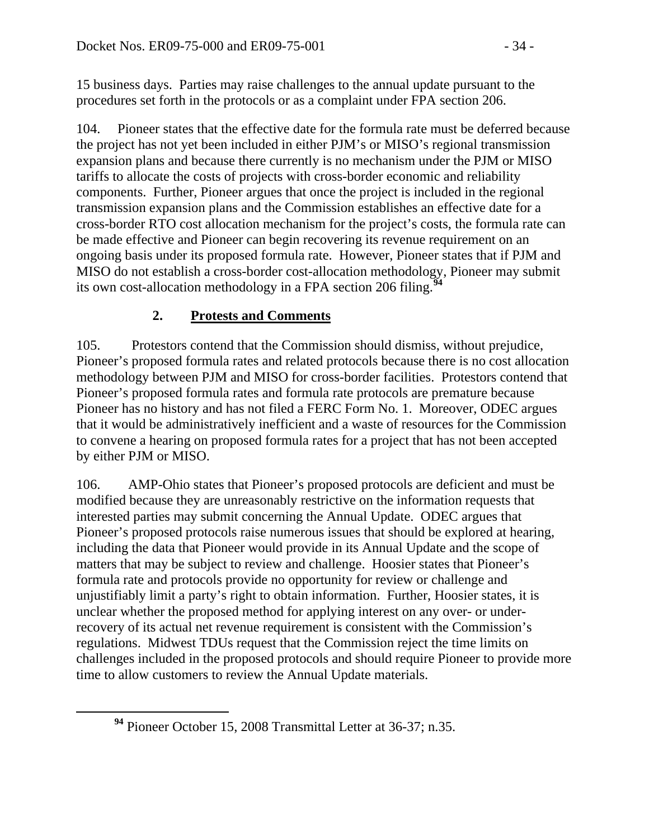15 business days. Parties may raise challenges to the annual update pursuant to the procedures set forth in the protocols or as a complaint under FPA section 206.

104. Pioneer states that the effective date for the formula rate must be deferred because the project has not yet been included in either PJM's or MISO's regional transmission expansion plans and because there currently is no mechanism under the PJM or MISO tariffs to allocate the costs of projects with cross-border economic and reliability components. Further, Pioneer argues that once the project is included in the regional transmission expansion plans and the Commission establishes an effective date for a cross-border RTO cost allocation mechanism for the project's costs, the formula rate can be made effective and Pioneer can begin recovering its revenue requirement on an ongoing basis under its proposed formula rate. However, Pioneer states that if PJM and MISO do not establish a cross-border cost-allocation methodology, Pioneer may submit its own cost-allocation methodology in a FPA section 206 filing.<sup>9</sup>

### **2. Protests and Comments**

105. Protestors contend that the Commission should dismiss, without prejudice, Pioneer's proposed formula rates and related protocols because there is no cost allocation methodology between PJM and MISO for cross-border facilities. Protestors contend that Pioneer's proposed formula rates and formula rate protocols are premature because Pioneer has no history and has not filed a FERC Form No. 1. Moreover, ODEC argues that it would be administratively inefficient and a waste of resources for the Commission to convene a hearing on proposed formula rates for a project that has not been accepted by either PJM or MISO.

106. AMP-Ohio states that Pioneer's proposed protocols are deficient and must be modified because they are unreasonably restrictive on the information requests that interested parties may submit concerning the Annual Update. ODEC argues that Pioneer's proposed protocols raise numerous issues that should be explored at hearing, including the data that Pioneer would provide in its Annual Update and the scope of matters that may be subject to review and challenge. Hoosier states that Pioneer's formula rate and protocols provide no opportunity for review or challenge and unjustifiably limit a party's right to obtain information. Further, Hoosier states, it is unclear whether the proposed method for applying interest on any over- or underrecovery of its actual net revenue requirement is consistent with the Commission's regulations. Midwest TDUs request that the Commission reject the time limits on challenges included in the proposed protocols and should require Pioneer to provide more time to allow customers to review the Annual Update materials.

<span id="page-33-0"></span>**<sup>94</sup>** Pioneer October 15, 2008 Transmittal Letter at 36-37; n.35.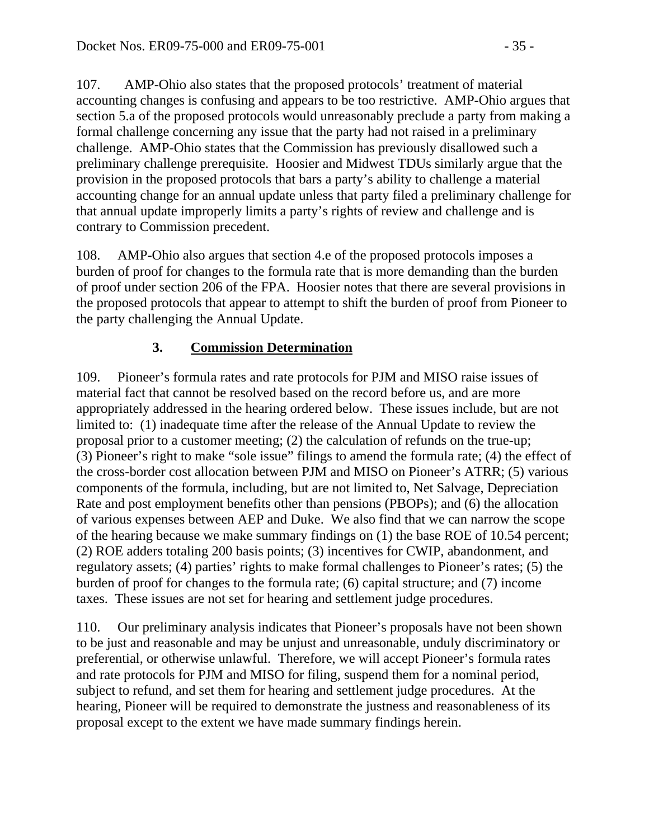107. AMP-Ohio also states that the proposed protocols' treatment of material accounting changes is confusing and appears to be too restrictive. AMP-Ohio argues that section 5.a of the proposed protocols would unreasonably preclude a party from making a formal challenge concerning any issue that the party had not raised in a preliminary challenge. AMP-Ohio states that the Commission has previously disallowed such a preliminary challenge prerequisite. Hoosier and Midwest TDUs similarly argue that the provision in the proposed protocols that bars a party's ability to challenge a material accounting change for an annual update unless that party filed a preliminary challenge for that annual update improperly limits a party's rights of review and challenge and is contrary to Commission precedent.

108. AMP-Ohio also argues that section 4.e of the proposed protocols imposes a burden of proof for changes to the formula rate that is more demanding than the burden of proof under section 206 of the FPA. Hoosier notes that there are several provisions in the proposed protocols that appear to attempt to shift the burden of proof from Pioneer to the party challenging the Annual Update.

### **3. Commission Determination**

109. Pioneer's formula rates and rate protocols for PJM and MISO raise issues of material fact that cannot be resolved based on the record before us, and are more appropriately addressed in the hearing ordered below. These issues include, but are not limited to: (1) inadequate time after the release of the Annual Update to review the proposal prior to a customer meeting; (2) the calculation of refunds on the true-up; (3) Pioneer's right to make "sole issue" filings to amend the formula rate; (4) the effect of the cross-border cost allocation between PJM and MISO on Pioneer's ATRR; (5) various components of the formula, including, but are not limited to, Net Salvage, Depreciation Rate and post employment benefits other than pensions (PBOPs); and (6) the allocation of various expenses between AEP and Duke. We also find that we can narrow the scope of the hearing because we make summary findings on (1) the base ROE of 10.54 percent; (2) ROE adders totaling 200 basis points; (3) incentives for CWIP, abandonment, and regulatory assets; (4) parties' rights to make formal challenges to Pioneer's rates; (5) the burden of proof for changes to the formula rate; (6) capital structure; and (7) income taxes. These issues are not set for hearing and settlement judge procedures.

110. Our preliminary analysis indicates that Pioneer's proposals have not been shown to be just and reasonable and may be unjust and unreasonable, unduly discriminatory or preferential, or otherwise unlawful. Therefore, we will accept Pioneer's formula rates and rate protocols for PJM and MISO for filing, suspend them for a nominal period, subject to refund, and set them for hearing and settlement judge procedures. At the hearing, Pioneer will be required to demonstrate the justness and reasonableness of its proposal except to the extent we have made summary findings herein.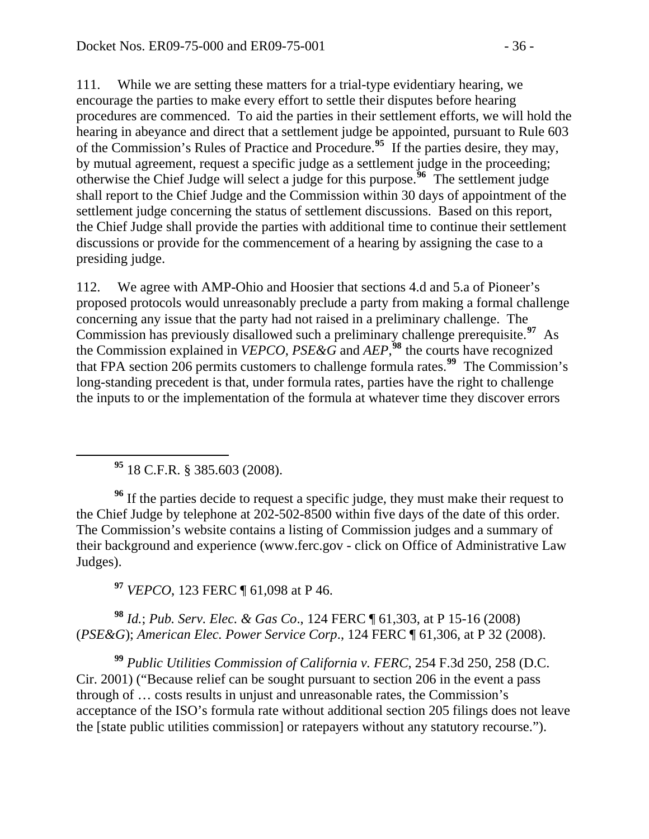111. While we are setting these matters for a trial-type evidentiary hearing, we encourage the parties to make every effort to settle their disputes before hearing procedures are commenced. To aid the parties in their settlement efforts, we will hold the hearing in abeyance and direct that a settlement judge be appointed, pursuant to Rule 603 of the Commission's Rules of Practice and Procedure.**[95](#page-35-0)** If the parties desire, they may, by mutual agreement, request a specific judge as a settlement judge in the proceeding; otherwise the Chief Judge will select a judge for this purpose.**[96](#page-35-1)** The settlement judge shall report to the Chief Judge and the Commission within 30 days of appointment of the settlement judge concerning the status of settlement discussions. Based on this report, the Chief Judge shall provide the parties with additional time to continue their settlement discussions or provide for the commencement of a hearing by assigning the case to a presiding judge.

112. We agree with AMP-Ohio and Hoosier that sections 4.d and 5.a of Pioneer's proposed protocols would unreasonably preclude a party from making a formal challenge concerning any issue that the party had not raised in a preliminary challenge. The Commission has previously disallowed such a preliminary challenge prerequisite.**[97](#page-35-2)** As the Commission explained in *VEPCO*, *PSE&G* and  $AEP$ <sup>58</sup>, the courts have recognized that FPA section 206 permits customers to challenge formula rates.**[99](#page-35-4)** The Commission's long-standing precedent is that, under formula rates, parties have the right to challenge the inputs to or the implementation of the formula at whatever time they discover errors

**<sup>95</sup>** 18 C.F.R. § 385.603 (2008).

<span id="page-35-1"></span><span id="page-35-0"></span><sup>96</sup> If the parties decide to request a specific judge, they must make their request to the Chief Judge by telephone at 202-502-8500 within five days of the date of this order. The Commission's website contains a listing of Commission judges and a summary of their background and experience (www.ferc.gov - click on Office of Administrative Law Judges).

**<sup>97</sup>** *VEPCO*, 123 FERC ¶ 61,098 at P 46.

<span id="page-35-3"></span><span id="page-35-2"></span>**<sup>98</sup>** *Id.*; *Pub. Serv. Elec. & Gas Co*., 124 FERC ¶ 61,303, at P 15-16 (2008) (*PSE&G*); *American Elec. Power Service Corp*., 124 FERC ¶ 61,306, at P 32 (2008).

<span id="page-35-4"></span>**<sup>99</sup>** *Public Utilities Commission of California v. FERC*, 254 F.3d 250, 258 (D.C. Cir. 2001) ("Because relief can be sought pursuant to section 206 in the event a pass through of … costs results in unjust and unreasonable rates, the Commission's acceptance of the ISO's formula rate without additional section 205 filings does not leave the [state public utilities commission] or ratepayers without any statutory recourse.").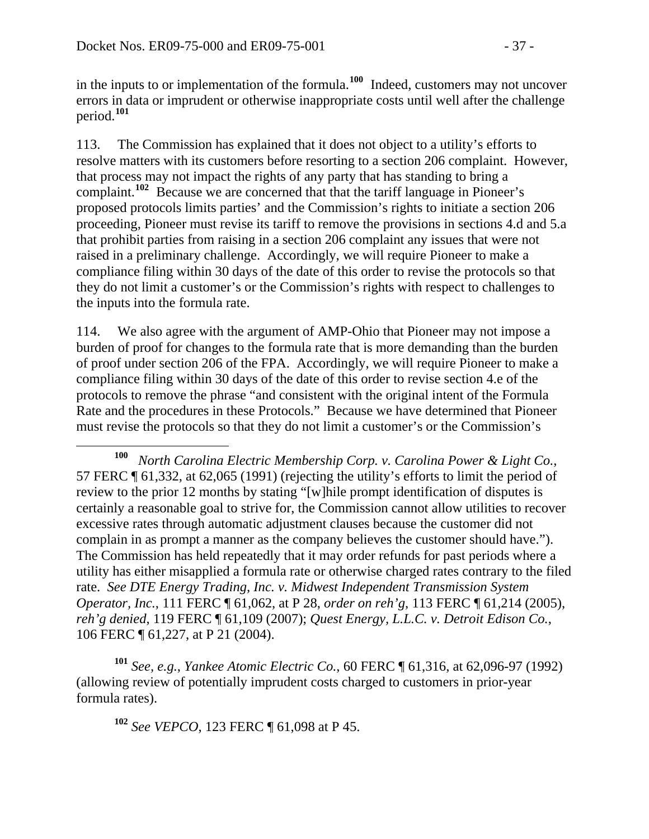in the inputs to or implementation of the formula.**[100](#page-36-0)** Indeed, customers may not uncover errors in data or imprudent or otherwise inappropriate costs until well after the challenge period.**[101](#page-36-1)**

113. The Commission has explained that it does not object to a utility's efforts to resolve matters with its customers before resorting to a section 206 complaint. However, that process may not impact the rights of any party that has standing to bring a complaint.**[102](#page-36-2)** Because we are concerned that that the tariff language in Pioneer's proposed protocols limits parties' and the Commission's rights to initiate a section 206 proceeding, Pioneer must revise its tariff to remove the provisions in sections 4.d and 5.a that prohibit parties from raising in a section 206 complaint any issues that were not raised in a preliminary challenge. Accordingly, we will require Pioneer to make a compliance filing within 30 days of the date of this order to revise the protocols so that they do not limit a customer's or the Commission's rights with respect to challenges to the inputs into the formula rate.

114. We also agree with the argument of AMP-Ohio that Pioneer may not impose a burden of proof for changes to the formula rate that is more demanding than the burden of proof under section 206 of the FPA. Accordingly, we will require Pioneer to make a compliance filing within 30 days of the date of this order to revise section 4.e of the protocols to remove the phrase "and consistent with the original intent of the Formula Rate and the procedures in these Protocols." Because we have determined that Pioneer must revise the protocols so that they do not limit a customer's or the Commission's

<span id="page-36-2"></span><span id="page-36-1"></span>**<sup>101</sup>** *See, e.g.*, *Yankee Atomic Electric Co.*, 60 FERC ¶ 61,316, at 62,096-97 (1992) (allowing review of potentially imprudent costs charged to customers in prior-year formula rates).

**<sup>102</sup>** *See VEPCO*, 123 FERC ¶ 61,098 at P 45.

<span id="page-36-0"></span>**<sup>100</sup>** *North Carolina Electric Membership Corp. v. Carolina Power & Light Co.*, 57 FERC ¶ 61,332, at 62,065 (1991) (rejecting the utility's efforts to limit the period of review to the prior 12 months by stating "[w]hile prompt identification of disputes is certainly a reasonable goal to strive for, the Commission cannot allow utilities to recover excessive rates through automatic adjustment clauses because the customer did not complain in as prompt a manner as the company believes the customer should have."). The Commission has held repeatedly that it may order refunds for past periods where a utility has either misapplied a formula rate or otherwise charged rates contrary to the filed rate. *See DTE Energy Trading, Inc. v. Midwest Independent Transmission System Operator, Inc.*, 111 FERC ¶ 61,062, at P 28, *order on reh'g*, 113 FERC ¶ 61,214 (2005), *reh'g denied*, 119 FERC ¶ 61,109 (2007); *Quest Energy, L.L.C. v. Detroit Edison Co.*, 106 FERC ¶ 61,227, at P 21 (2004).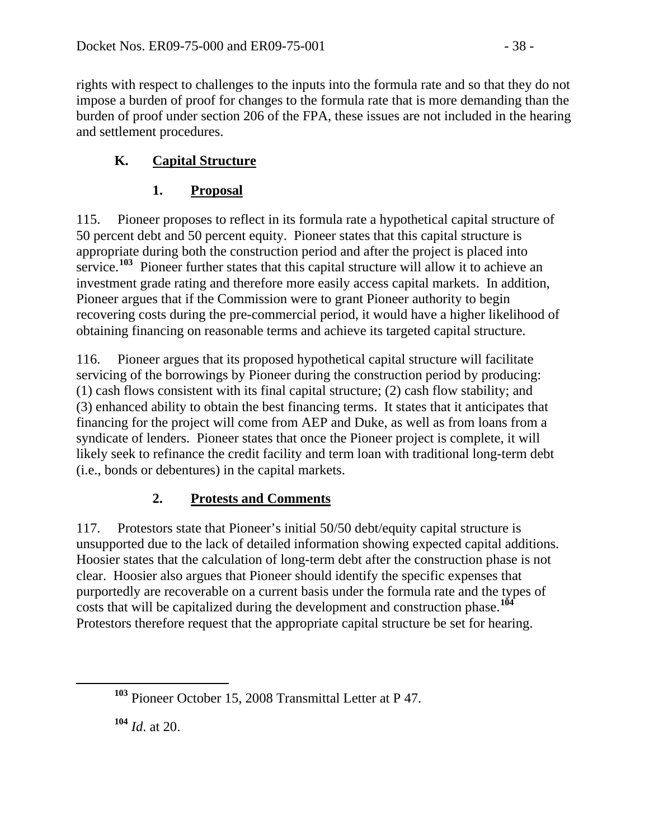rights with respect to challenges to the inputs into the formula rate and so that they do not impose a burden of proof for changes to the formula rate that is more demanding than the burden of proof under section 206 of the FPA, these issues are not included in the hearing and settlement procedures.

### **K. Capital Structure**

### **1. Proposal**

115. Pioneer proposes to reflect in its formula rate a hypothetical capital structure of 50 percent debt and 50 percent equity. Pioneer states that this capital structure is appropriate during both the construction period and after the project is placed into service.<sup>[103](#page-37-0)</sup> Pioneer further states that this capital structure will allow it to achieve an investment grade rating and therefore more easily access capital markets. In addition, Pioneer argues that if the Commission were to grant Pioneer authority to begin recovering costs during the pre-commercial period, it would have a higher likelihood of obtaining financing on reasonable terms and achieve its targeted capital structure.

116. Pioneer argues that its proposed hypothetical capital structure will facilitate servicing of the borrowings by Pioneer during the construction period by producing: (1) cash flows consistent with its final capital structure; (2) cash flow stability; and (3) enhanced ability to obtain the best financing terms. It states that it anticipates that financing for the project will come from AEP and Duke, as well as from loans from a syndicate of lenders. Pioneer states that once the Pioneer project is complete, it will likely seek to refinance the credit facility and term loan with traditional long-term debt (i.e., bonds or debentures) in the capital markets.

## **2. Protests and Comments**

117. Protestors state that Pioneer's initial 50/50 debt/equity capital structure is unsupported due to the lack of detailed information showing expected capital additions. Hoosier states that the calculation of long-term debt after the construction phase is not clear. Hoosier also argues that Pioneer should identify the specific expenses that purportedly are recoverable on a current basis under the formula rate and the types of costs that will be capitalized during the development and construction phase.**[104](#page-37-1)** Protestors therefore request that the appropriate capital structure be set for hearing.

<span id="page-37-1"></span>**<sup>104</sup>** *Id*. at 20.

<span id="page-37-0"></span>**<sup>103</sup>** Pioneer October 15, 2008 Transmittal Letter at P 47.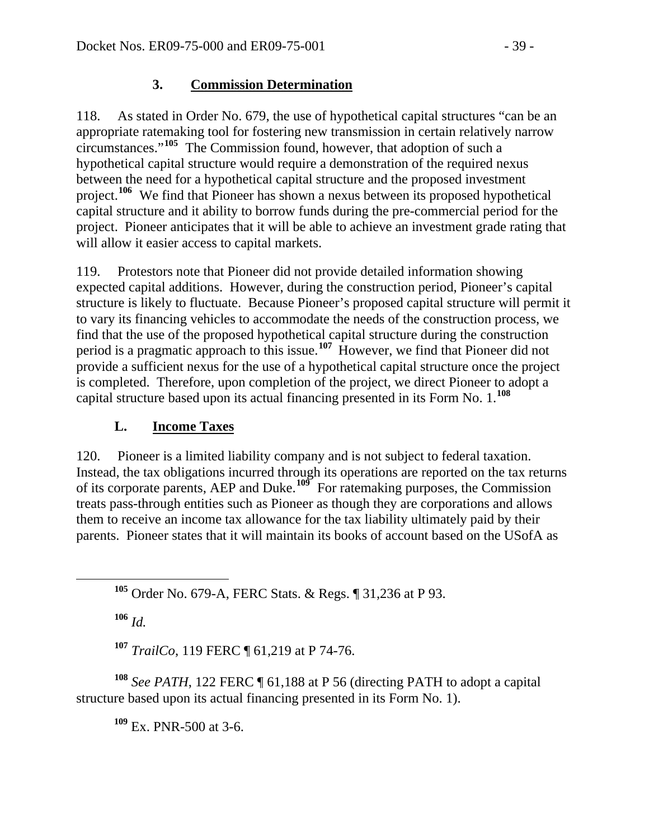### **3. Commission Determination**

118. As stated in Order No. 679, the use of hypothetical capital structures "can be an appropriate ratemaking tool for fostering new transmission in certain relatively narrow circumstances."**[105](#page-38-0)** The Commission found, however, that adoption of such a hypothetical capital structure would require a demonstration of the required nexus between the need for a hypothetical capital structure and the proposed investment project.**[106](#page-38-1)** We find that Pioneer has shown a nexus between its proposed hypothetical capital structure and it ability to borrow funds during the pre-commercial period for the project. Pioneer anticipates that it will be able to achieve an investment grade rating that will allow it easier access to capital markets.

119. Protestors note that Pioneer did not provide detailed information showing expected capital additions. However, during the construction period, Pioneer's capital structure is likely to fluctuate. Because Pioneer's proposed capital structure will permit it to vary its financing vehicles to accommodate the needs of the construction process, we find that the use of the proposed hypothetical capital structure during the construction period is a pragmatic approach to this issue.**[107](#page-38-2)** However, we find that Pioneer did not provide a sufficient nexus for the use of a hypothetical capital structure once the project is completed. Therefore, upon completion of the project, we direct Pioneer to adopt a capital structure based upon its actual financing presented in its Form No. 1.**[108](#page-38-3)** 

### **L. Income Taxes**

120. Pioneer is a limited liability company and is not subject to federal taxation. Instead, the tax obligations incurred through its operations are reported on the tax returns of its corporate parents, AEP and Duke.**[109](#page-38-4)** For ratemaking purposes, the Commission treats pass-through entities such as Pioneer as though they are corporations and allows them to receive an income tax allowance for the tax liability ultimately paid by their parents. Pioneer states that it will maintain its books of account based on the USofA as

<span id="page-38-0"></span>**<sup>105</sup>** Order No. 679-A, FERC Stats. & Regs. ¶ 31,236 at P 93.

**<sup>106</sup>** *Id.*

**<sup>107</sup>** *TrailCo*, 119 FERC ¶ 61,219 at P 74-76.

<span id="page-38-4"></span><span id="page-38-3"></span><span id="page-38-2"></span><span id="page-38-1"></span>**<sup>108</sup>** *See PATH*, 122 FERC ¶ 61,188 at P 56 (directing PATH to adopt a capital structure based upon its actual financing presented in its Form No. 1).

**<sup>109</sup>** Ex. PNR-500 at 3-6.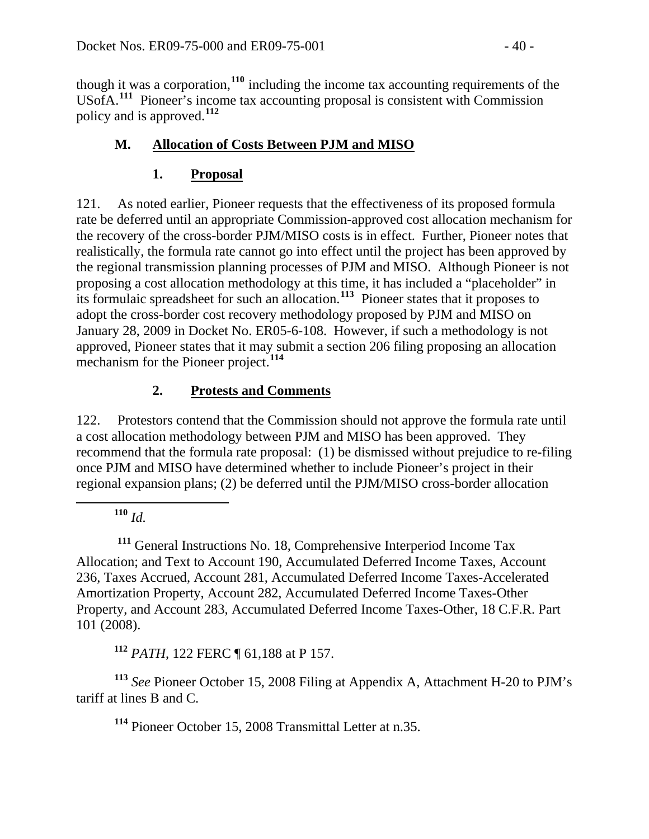though it was a corporation,**<sup>110</sup>** including the income tax accounting requirements of the USofA.**<sup>111</sup>** Pioneer's income tax accounting proposal is consistent with Commission policy and is approved.**<sup>112</sup>**

## **M. Allocation of Costs Between PJM and MISO**

### **1. Proposal**

121. As noted earlier, Pioneer requests that the effectiveness of its proposed formula rate be deferred until an appropriate Commission-approved cost allocation mechanism for the recovery of the cross-border PJM/MISO costs is in effect. Further, Pioneer notes that realistically, the formula rate cannot go into effect until the project has been approved by the regional transmission planning processes of PJM and MISO. Although Pioneer is not proposing a cost allocation methodology at this time, it has included a "placeholder" in its formulaic spreadsheet for such an allocation.**[113](#page-39-0)** Pioneer states that it proposes to adopt the cross-border cost recovery methodology proposed by PJM and MISO on January 28, 2009 in Docket No. ER05-6-108. However, if such a methodology is no t approved, Pioneer states that it may submit a section 206 filing proposing an allocation mechanism for the Pioneer project.<sup>114</sup>

## **2. Protests and Comments**

122. Protestors contend that the Commission should not approve the formula rate until a cost allocation methodology between PJM and MISO has been approved. They recommend that the formula rate proposal: (1) be dismissed without prejudice to re-filing once PJM and MISO have determined whether to include Pioneer's project in their regional expansion plans; (2) be deferred until the PJM/MISO cross-border allocation

**<sup>110</sup>** *Id.*

 $\overline{a}$ 

 **<sup>111</sup>** General Instructions No. 18, Comprehensive Interperiod Income Tax Allocation; and Text to Account 190, Accumulated Deferred Income Taxes, Account 236, Taxes Accrued, Account 281, Accumulated Deferred Income Taxes-Accelerated Amortization Property, Account 282, Accumulated Deferred Income Taxes-Other Property, and Account 283, Accumulated Deferred Income Taxes-Other, 18 C.F.R. Part 101 (2008).

**<sup>112</sup>** *PATH*, 122 FERC ¶ 61,188 at P 157.

<span id="page-39-0"></span>**<sup>113</sup>** *See* Pioneer October 15, 2008 Filing at Appendix A, Attachment H-20 to PJM's tariff at lines B and C.

**<sup>114</sup>** Pioneer October 15, 2008 Transmittal Letter at n.35.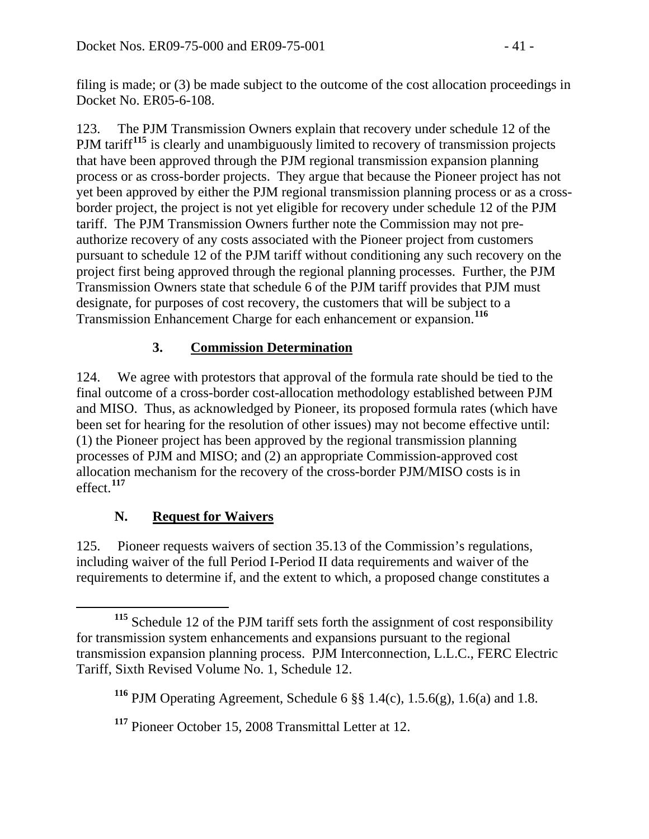filing is made; or (3) be made subject to the outcome of the cost allocation proceedings in Docket No. ER05-6-108.

123. The PJM Transmission Owners explain that recovery under schedule 12 of the PJM tariff<sup>[115](#page-40-0)</sup> is clearly and unambiguously limited to recovery of transmission projects that have been approved through the PJM regional transmission expansion planning process or as cross-border projects. They argue that because the Pioneer project has not yet been approved by either the PJM regional transmission planning process or as a crossborder project, the project is not yet eligible for recovery under schedule 12 of the PJM tariff. The PJM Transmission Owners further note the Commission may not preauthorize recovery of any costs associated with the Pioneer project from customers pursuant to schedule 12 of the PJM tariff without conditioning any such recovery on the project first being approved through the regional planning processes. Further, the PJM Transmission Owners state that schedule 6 of the PJM tariff provides that PJM must designate, for purposes of cost recovery, the customers that will be subject to a Transmission Enhancement Charge for each enhancement or expansion.**[116](#page-40-1)**

## **3. Commission Determination**

124. We agree with protestors that approval of the formula rate should be tied to the final outcome of a cross-border cost-allocation methodology established between PJM and MISO. Thus, as acknowledged by Pioneer, its proposed formula rates (which have been set for hearing for the resolution of other issues) may not become effective until: (1) the Pioneer project has been approved by the regional transmission planning processes of PJM and MISO; and (2) an appropriate Commission-approved cost allocation mechanism for the recovery of the cross-border PJM/MISO costs is in **<sup>117</sup>** effect.

## **N. Request for Waivers**

125. Pioneer requests waivers of section 35.13 of the Commission's regulations, including waiver of the full Period I-Period II data requirements and waiver of the requirements to determine if, and the extent to which, a proposed change constitutes a

<span id="page-40-0"></span> $\overline{a}$ **<sup>115</sup>** Schedule 12 of the PJM tariff sets forth the assignment of cost responsibility for transmission system enhancements and expansions pursuant to the regional transmission expansion planning process. PJM Interconnection, L.L.C., FERC Electric Tariff, Sixth Revised Volume No. 1, Schedule 12.

<span id="page-40-1"></span>**<sup>116</sup>** PJM Operating Agreement, Schedule 6 §§ 1.4(c), 1.5.6(g), 1.6(a) and 1.8.

**<sup>117</sup>** Pioneer October 15, 2008 Transmittal Letter at 12.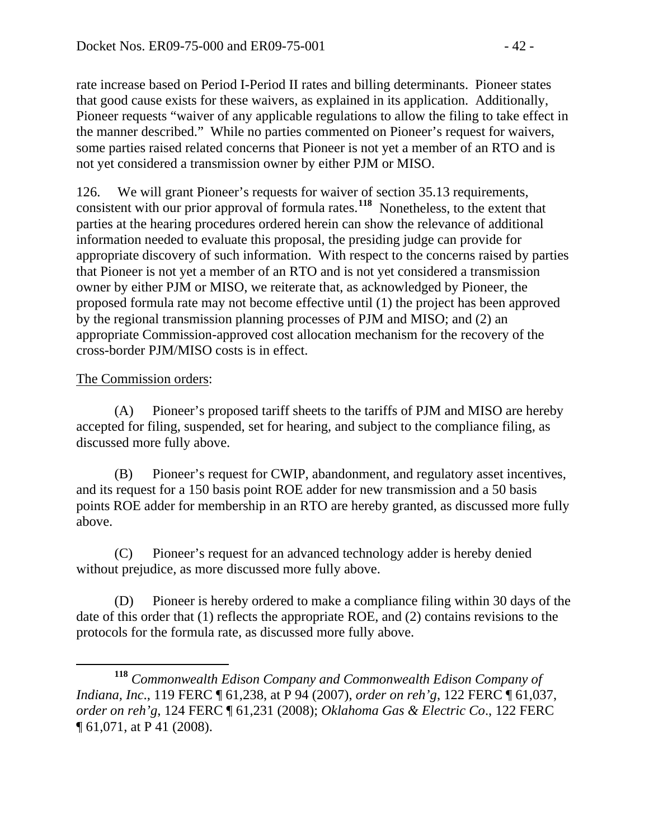rate increase based on Period I-Period II rates and billing determinants. Pioneer states that good cause exists for these waivers, as explained in its application. Additionally, Pioneer requests "waiver of any applicable regulations to allow the filing to take effect i n the manner described." While no parties commented on Pioneer's request for waivers, some parties raised related concerns that Pioneer is not yet a member of an R TO and is not yet considered a transmission owner by either PJM or MISO.

parties at the hearing procedures ordered herein can show the relevance of additional appropriate discovery of such information. With respect to the concerns raised by parties that Pioneer is not yet a member of an RTO and is not yet considered a transmission proposed formula rate may not become effective until (1) the project has been approved appropriate Commission-approved cost allocation mechanism for the recovery of the cross-border PJM/MISO costs is in effect. 126. We will grant Pioneer's requests for waiver of section 35.13 requirements, consistent with our prior approval of formula rates.**[118](#page-41-0)** Nonetheless, to the extent that information needed to evaluate this proposal, the presiding judge can provide for owner by either PJM or MISO, we reiterate that, as acknowledged by Pioneer, the by the regional transmission planning processes of PJM and MISO; and (2) an

#### The Commission orders:

(A) Pioneer's proposed tariff sheets to the tariffs of PJM and MISO are hereby accepted for filing, suspended, set for hearing, and subject to the compliance filing, as discussed more fully above.

(B) Pioneer's request for CWIP, abandonment, and regulatory asset incentives, points ROE adder for membership in an RTO are hereby granted, as discussed more fully above. and its request for a 150 basis point ROE adder for new transmission and a 50 basis

without prejudice, as more discussed more fully above. (C) Pioneer's request for an advanced technology adder is hereby denied

(D) Pioneer is hereby ordered to make a compliance filing within 30 days of the protocols for the formula rate, as discussed more fully above. date of this order that (1) reflects the appropriate ROE, and (2) contains revisions to the

<span id="page-41-0"></span> $\overline{a}$ **<sup>118</sup>** *Commonwealth Edison Company and Commonwealth Edison Company of Indiana, Inc*., 119 FERC ¶ 61,238, at P 94 (2007), *order on reh'g*, 122 FERC ¶ 61,037, *order on reh'g*, 124 FERC ¶ 61,231 (2008); *Oklahoma Gas & Electric Co*., 122 FERC ¶ 61,071, at P 41 (2008).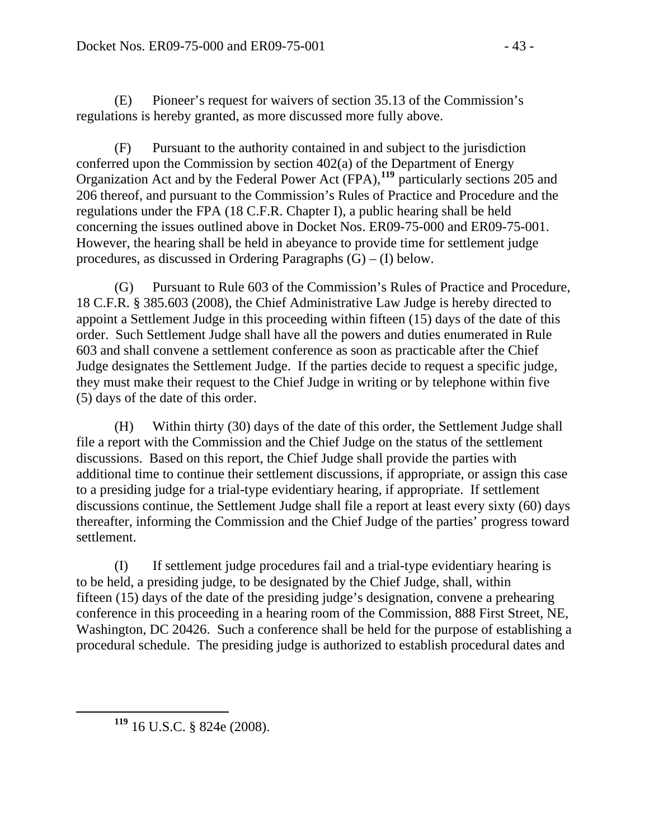(E) Pioneer's request for waivers of section 35.13 of the Commission's regulations is hereby granted, as more discussed more fully above.

206 thereof, and pursuant to the Commission's Rules of Practice and Procedure and the . concerning the issues outlined above in Docket Nos. ER09-75-000 and ER09-75-001 However, the hearing shall be held in abeyance to provide time for settlement judge procedures, as discussed in Ordering Paragraphs  $(G) - (I)$  below. (F) Pursuant to the authority contained in and subject to the jurisdiction conferred upon the Commission by section 402(a) of the Department of Energy Organization Act and by the Federal Power Act (FPA),**[119](#page-42-0)** particularly sections 205 and regulations under the FPA (18 C.F.R. Chapter I), a public hearing shall be held

(G) Pursuant to Rule 603 of the Commission's Rules of Practice and Procedure, order. Such Settlement Judge shall have all the powers and duties enumerated in Rule they must make their request to the Chief Judge in writing or by telephone within five (5) days of the date of this order. 18 C.F.R. § 385.603 (2008), the Chief Administrative Law Judge is hereby directed to appoint a Settlement Judge in this proceeding within fifteen (15) days of the date of this 603 and shall convene a settlement conference as soon as practicable after the Chief Judge designates the Settlement Judge. If the parties decide to request a specific judge,

(H) Within thirty (30) days of the date of this order, the Settlement Judge shall file a report with the Commission and the Chief Judge on the status of the settlement additional time to continue their settlement discussions, if appropriate, or assign this case thereafter, informing the Commission and the Chief Judge of the parties' progress toward settlement. discussions. Based on this report, the Chief Judge shall provide the parties with to a presiding judge for a trial-type evidentiary hearing, if appropriate. If settlement discussions continue, the Settlement Judge shall file a report at least every sixty (60) days

procedural schedule. The presiding judge is authorized to establish procedural dates and (I) If settlement judge procedures fail and a trial-type evidentiary hearing is to be held, a presiding judge, to be designated by the Chief Judge, shall, within fifteen (15) days of the date of the presiding judge's designation, convene a prehearing conference in this proceeding in a hearing room of the Commission, 888 First Street, NE, Washington, DC 20426. Such a conference shall be held for the purpose of establishing a

<span id="page-42-0"></span>

**<sup>119</sup>** 16 U.S.C. § 824e (2008).